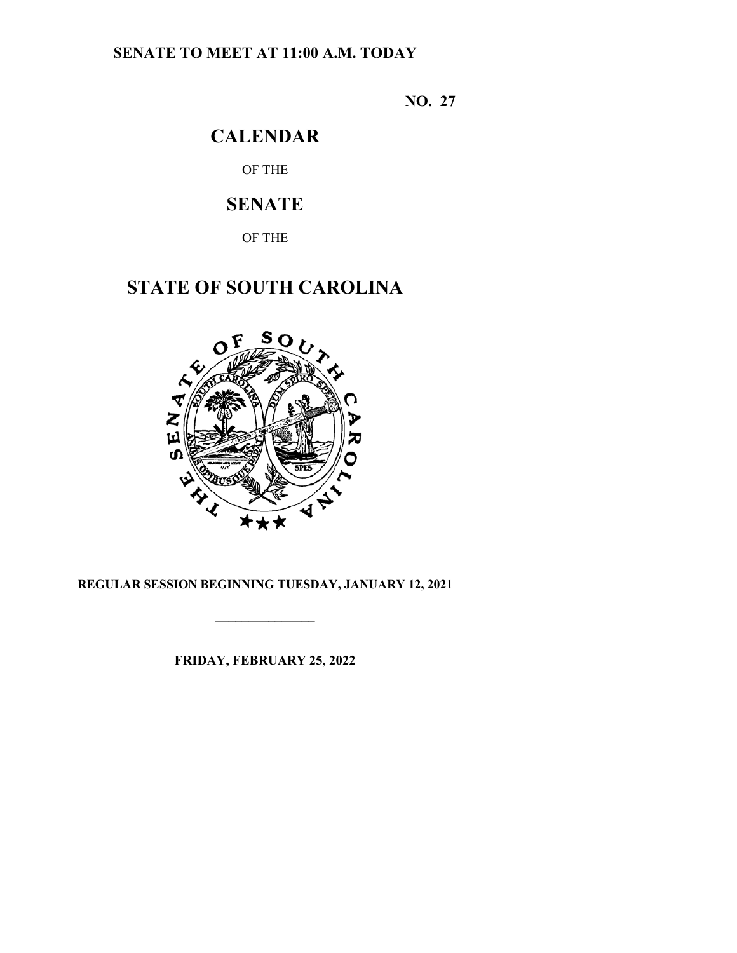## **SENATE TO MEET AT 11:00 A.M. TODAY**

**NO. 27**

# **CALENDAR**

OF THE

# **SENATE**

OF THE

# **STATE OF SOUTH CAROLINA**



### **REGULAR SESSION BEGINNING TUESDAY, JANUARY 12, 2021**

**\_\_\_\_\_\_\_\_\_\_\_\_\_\_\_**

**FRIDAY, FEBRUARY 25, 2022**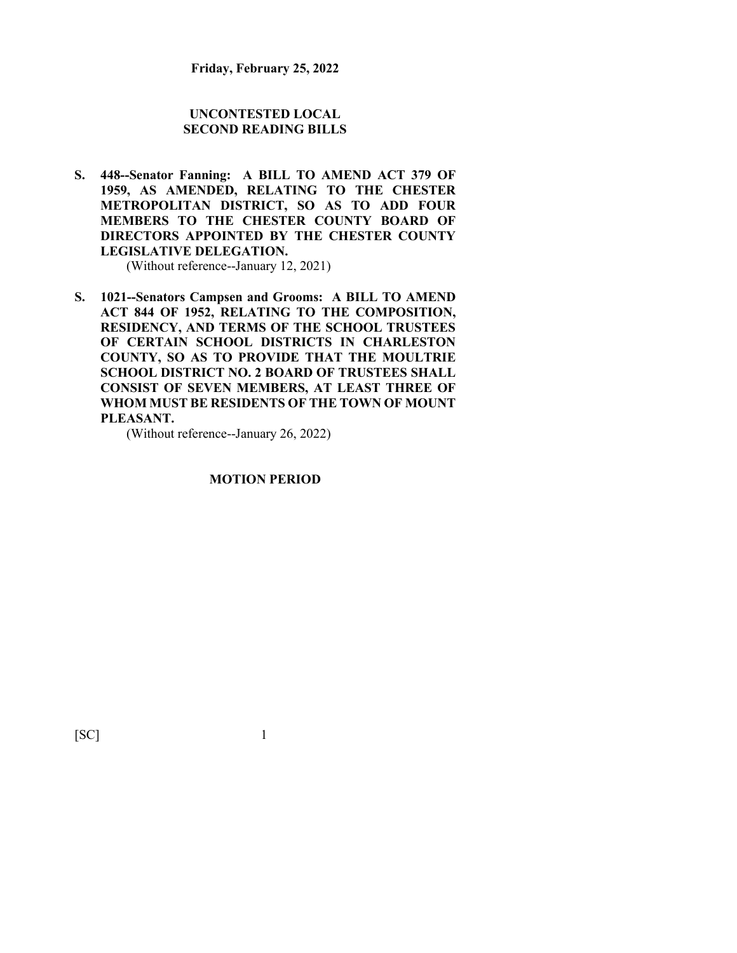#### **UNCONTESTED LOCAL SECOND READING BILLS**

**S. 448--Senator Fanning: A BILL TO AMEND ACT 379 OF 1959, AS AMENDED, RELATING TO THE CHESTER METROPOLITAN DISTRICT, SO AS TO ADD FOUR MEMBERS TO THE CHESTER COUNTY BOARD OF DIRECTORS APPOINTED BY THE CHESTER COUNTY LEGISLATIVE DELEGATION.**

(Without reference--January 12, 2021)

**S. 1021--Senators Campsen and Grooms: A BILL TO AMEND ACT 844 OF 1952, RELATING TO THE COMPOSITION, RESIDENCY, AND TERMS OF THE SCHOOL TRUSTEES OF CERTAIN SCHOOL DISTRICTS IN CHARLESTON COUNTY, SO AS TO PROVIDE THAT THE MOULTRIE SCHOOL DISTRICT NO. 2 BOARD OF TRUSTEES SHALL CONSIST OF SEVEN MEMBERS, AT LEAST THREE OF WHOM MUST BE RESIDENTS OF THE TOWN OF MOUNT PLEASANT.**

(Without reference--January 26, 2022)

#### **MOTION PERIOD**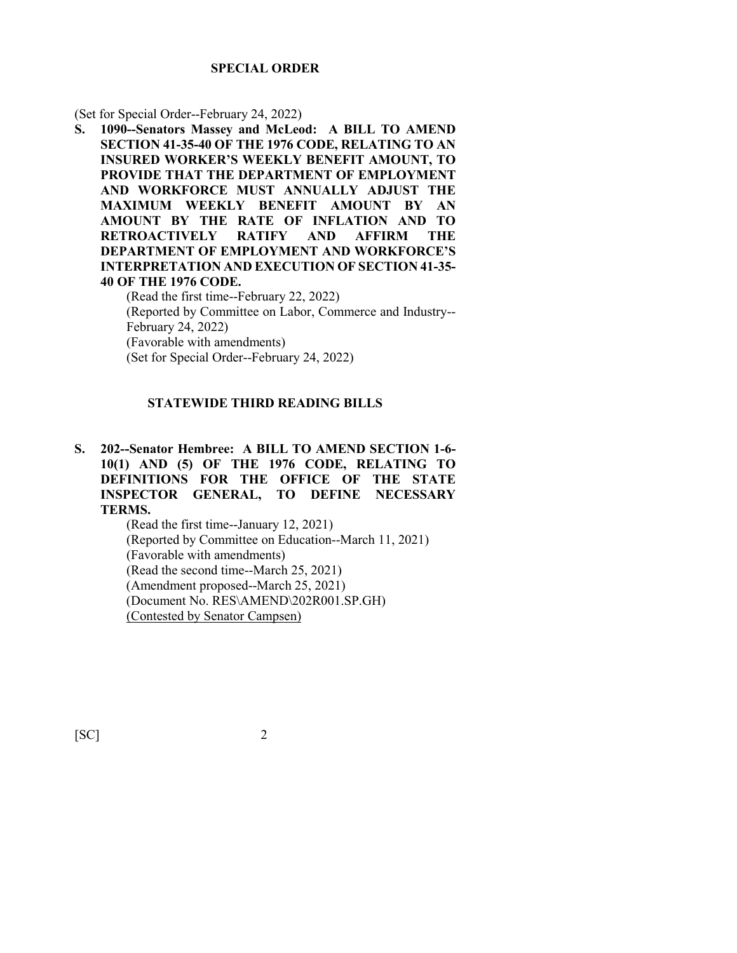#### **SPECIAL ORDER**

(Set for Special Order--February 24, 2022)

**S. 1090--Senators Massey and McLeod: A BILL TO AMEND SECTION 41-35-40 OF THE 1976 CODE, RELATING TO AN INSURED WORKER'S WEEKLY BENEFIT AMOUNT, TO PROVIDE THAT THE DEPARTMENT OF EMPLOYMENT AND WORKFORCE MUST ANNUALLY ADJUST THE MAXIMUM WEEKLY BENEFIT AMOUNT BY AN AMOUNT BY THE RATE OF INFLATION AND TO RETROACTIVELY RATIFY AND AFFIRM THE DEPARTMENT OF EMPLOYMENT AND WORKFORCE'S INTERPRETATION AND EXECUTION OF SECTION 41-35- 40 OF THE 1976 CODE.**

(Read the first time--February 22, 2022) (Reported by Committee on Labor, Commerce and Industry-- February 24, 2022) (Favorable with amendments) (Set for Special Order--February 24, 2022)

#### **STATEWIDE THIRD READING BILLS**

**S. 202--Senator Hembree: A BILL TO AMEND SECTION 1-6- 10(1) AND (5) OF THE 1976 CODE, RELATING TO DEFINITIONS FOR THE OFFICE OF THE STATE INSPECTOR GENERAL, TO DEFINE NECESSARY TERMS.**

> (Read the first time--January 12, 2021) (Reported by Committee on Education--March 11, 2021) (Favorable with amendments) (Read the second time--March 25, 2021) (Amendment proposed--March 25, 2021) (Document No. RES\AMEND\202R001.SP.GH) (Contested by Senator Campsen)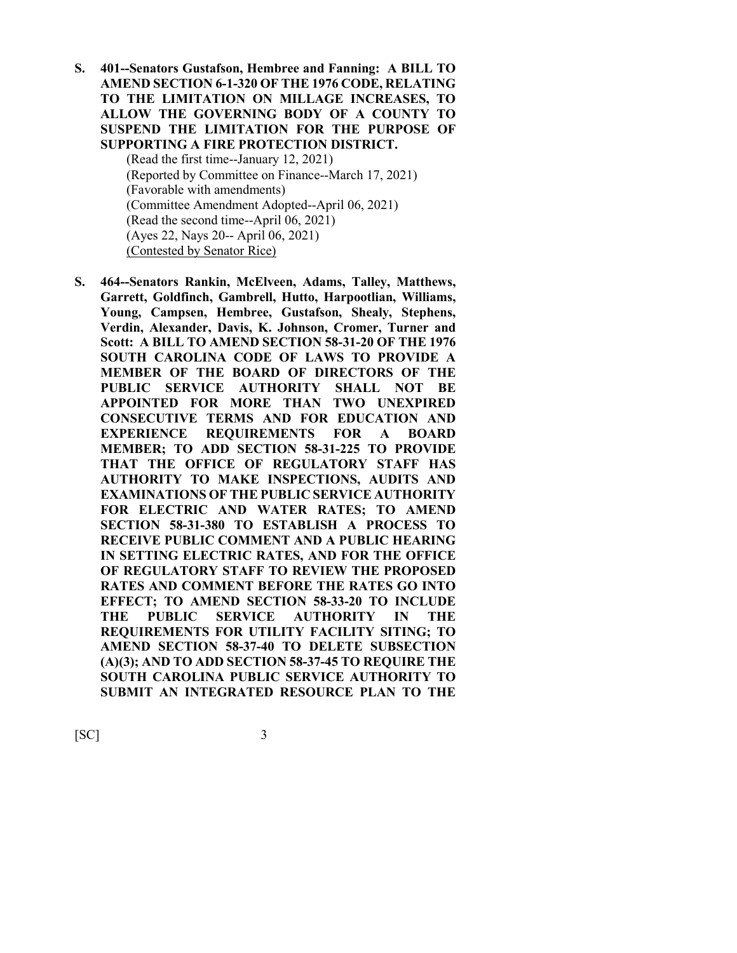**S. 401--Senators Gustafson, Hembree and Fanning: A BILL TO AMEND SECTION 6-1-320 OF THE 1976 CODE, RELATING TO THE LIMITATION ON MILLAGE INCREASES, TO ALLOW THE GOVERNING BODY OF A COUNTY TO SUSPEND THE LIMITATION FOR THE PURPOSE OF SUPPORTING A FIRE PROTECTION DISTRICT.**

> (Read the first time--January 12, 2021) (Reported by Committee on Finance--March 17, 2021) (Favorable with amendments) (Committee Amendment Adopted--April 06, 2021) (Read the second time--April 06, 2021) (Ayes 22, Nays 20-- April 06, 2021) (Contested by Senator Rice)

**S. 464--Senators Rankin, McElveen, Adams, Talley, Matthews, Garrett, Goldfinch, Gambrell, Hutto, Harpootlian, Williams, Young, Campsen, Hembree, Gustafson, Shealy, Stephens, Verdin, Alexander, Davis, K. Johnson, Cromer, Turner and Scott: A BILL TO AMEND SECTION 58-31-20 OF THE 1976 SOUTH CAROLINA CODE OF LAWS TO PROVIDE A MEMBER OF THE BOARD OF DIRECTORS OF THE PUBLIC SERVICE AUTHORITY SHALL NOT BE APPOINTED FOR MORE THAN TWO UNEXPIRED CONSECUTIVE TERMS AND FOR EDUCATION AND EXPERIENCE REQUIREMENTS FOR A BOARD MEMBER; TO ADD SECTION 58-31-225 TO PROVIDE THAT THE OFFICE OF REGULATORY STAFF HAS AUTHORITY TO MAKE INSPECTIONS, AUDITS AND EXAMINATIONS OF THE PUBLIC SERVICE AUTHORITY FOR ELECTRIC AND WATER RATES; TO AMEND SECTION 58-31-380 TO ESTABLISH A PROCESS TO RECEIVE PUBLIC COMMENT AND A PUBLIC HEARING IN SETTING ELECTRIC RATES, AND FOR THE OFFICE OF REGULATORY STAFF TO REVIEW THE PROPOSED RATES AND COMMENT BEFORE THE RATES GO INTO EFFECT; TO AMEND SECTION 58-33-20 TO INCLUDE THE PUBLIC SERVICE AUTHORITY IN THE REQUIREMENTS FOR UTILITY FACILITY SITING; TO AMEND SECTION 58-37-40 TO DELETE SUBSECTION (A)(3); AND TO ADD SECTION 58-37-45 TO REQUIRE THE SOUTH CAROLINA PUBLIC SERVICE AUTHORITY TO SUBMIT AN INTEGRATED RESOURCE PLAN TO THE**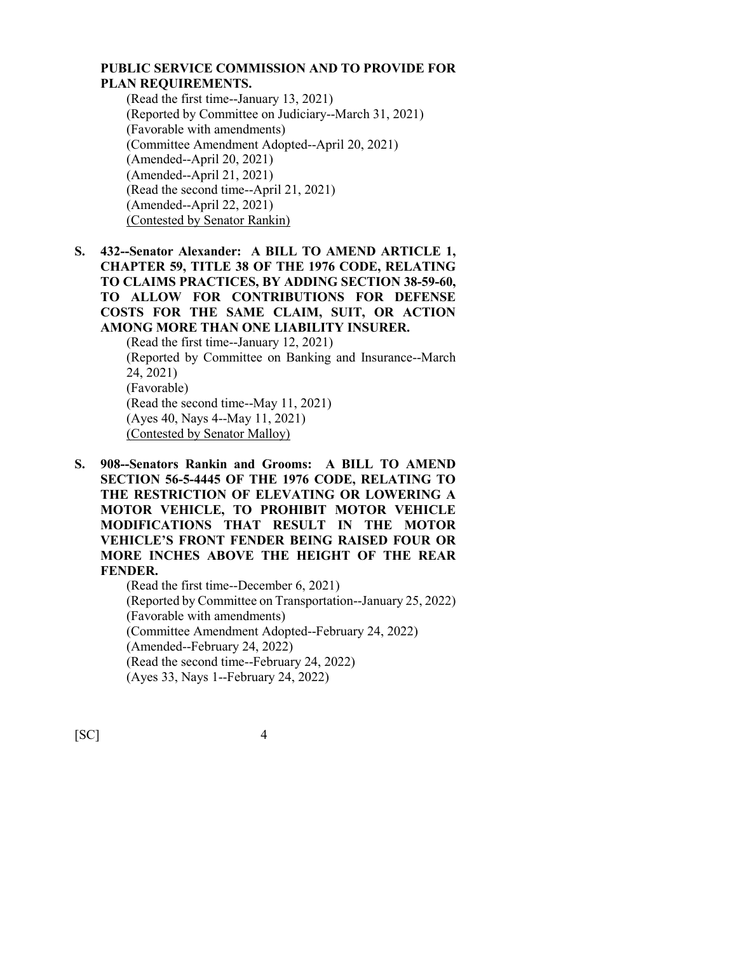#### **PUBLIC SERVICE COMMISSION AND TO PROVIDE FOR PLAN REQUIREMENTS.**

(Read the first time--January 13, 2021) (Reported by Committee on Judiciary--March 31, 2021) (Favorable with amendments) (Committee Amendment Adopted--April 20, 2021) (Amended--April 20, 2021) (Amended--April 21, 2021) (Read the second time--April 21, 2021) (Amended--April 22, 2021) (Contested by Senator Rankin)

**S. 432--Senator Alexander: A BILL TO AMEND ARTICLE 1, CHAPTER 59, TITLE 38 OF THE 1976 CODE, RELATING TO CLAIMS PRACTICES, BY ADDING SECTION 38-59-60, TO ALLOW FOR CONTRIBUTIONS FOR DEFENSE COSTS FOR THE SAME CLAIM, SUIT, OR ACTION AMONG MORE THAN ONE LIABILITY INSURER.** (Read the first time--January 12, 2021)

(Reported by Committee on Banking and Insurance--March 24, 2021) (Favorable) (Read the second time--May 11, 2021) (Ayes 40, Nays 4--May 11, 2021) (Contested by Senator Malloy)

**S. 908--Senators Rankin and Grooms: A BILL TO AMEND SECTION 56-5-4445 OF THE 1976 CODE, RELATING TO THE RESTRICTION OF ELEVATING OR LOWERING A MOTOR VEHICLE, TO PROHIBIT MOTOR VEHICLE MODIFICATIONS THAT RESULT IN THE MOTOR VEHICLE'S FRONT FENDER BEING RAISED FOUR OR MORE INCHES ABOVE THE HEIGHT OF THE REAR FENDER.**

(Read the first time--December 6, 2021) (Reported by Committee on Transportation--January 25, 2022) (Favorable with amendments) (Committee Amendment Adopted--February 24, 2022) (Amended--February 24, 2022) (Read the second time--February 24, 2022) (Ayes 33, Nays 1--February 24, 2022)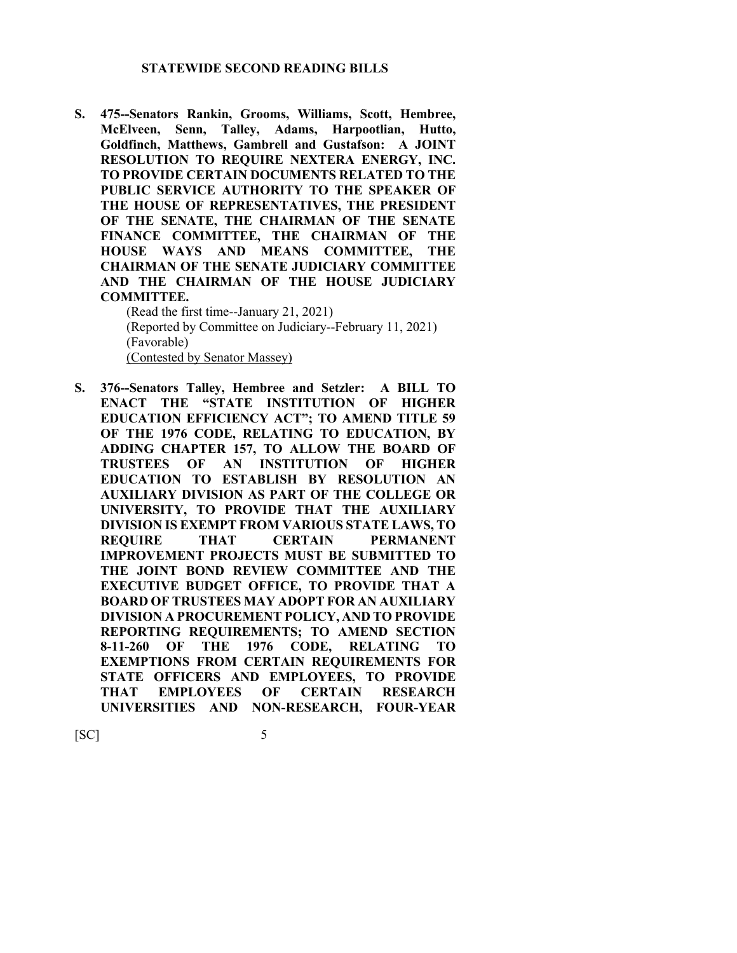#### **STATEWIDE SECOND READING BILLS**

**S. 475--Senators Rankin, Grooms, Williams, Scott, Hembree, McElveen, Senn, Talley, Adams, Harpootlian, Hutto, Goldfinch, Matthews, Gambrell and Gustafson: A JOINT RESOLUTION TO REQUIRE NEXTERA ENERGY, INC. TO PROVIDE CERTAIN DOCUMENTS RELATED TO THE PUBLIC SERVICE AUTHORITY TO THE SPEAKER OF THE HOUSE OF REPRESENTATIVES, THE PRESIDENT OF THE SENATE, THE CHAIRMAN OF THE SENATE FINANCE COMMITTEE, THE CHAIRMAN OF THE HOUSE WAYS AND MEANS COMMITTEE, THE CHAIRMAN OF THE SENATE JUDICIARY COMMITTEE AND THE CHAIRMAN OF THE HOUSE JUDICIARY COMMITTEE.**

(Read the first time--January 21, 2021) (Reported by Committee on Judiciary--February 11, 2021) (Favorable) (Contested by Senator Massey)

**S. 376--Senators Talley, Hembree and Setzler: A BILL TO ENACT THE "STATE INSTITUTION OF HIGHER EDUCATION EFFICIENCY ACT"; TO AMEND TITLE 59 OF THE 1976 CODE, RELATING TO EDUCATION, BY ADDING CHAPTER 157, TO ALLOW THE BOARD OF TRUSTEES OF AN INSTITUTION OF HIGHER EDUCATION TO ESTABLISH BY RESOLUTION AN AUXILIARY DIVISION AS PART OF THE COLLEGE OR UNIVERSITY, TO PROVIDE THAT THE AUXILIARY DIVISION IS EXEMPT FROM VARIOUS STATE LAWS, TO REQUIRE THAT CERTAIN PERMANENT IMPROVEMENT PROJECTS MUST BE SUBMITTED TO THE JOINT BOND REVIEW COMMITTEE AND THE EXECUTIVE BUDGET OFFICE, TO PROVIDE THAT A BOARD OF TRUSTEES MAY ADOPT FOR AN AUXILIARY DIVISION A PROCUREMENT POLICY, AND TO PROVIDE REPORTING REQUIREMENTS; TO AMEND SECTION 8-11-260 OF THE 1976 CODE, RELATING TO EXEMPTIONS FROM CERTAIN REQUIREMENTS FOR STATE OFFICERS AND EMPLOYEES, TO PROVIDE THAT EMPLOYEES OF CERTAIN RESEARCH UNIVERSITIES AND NON-RESEARCH, FOUR-YEAR**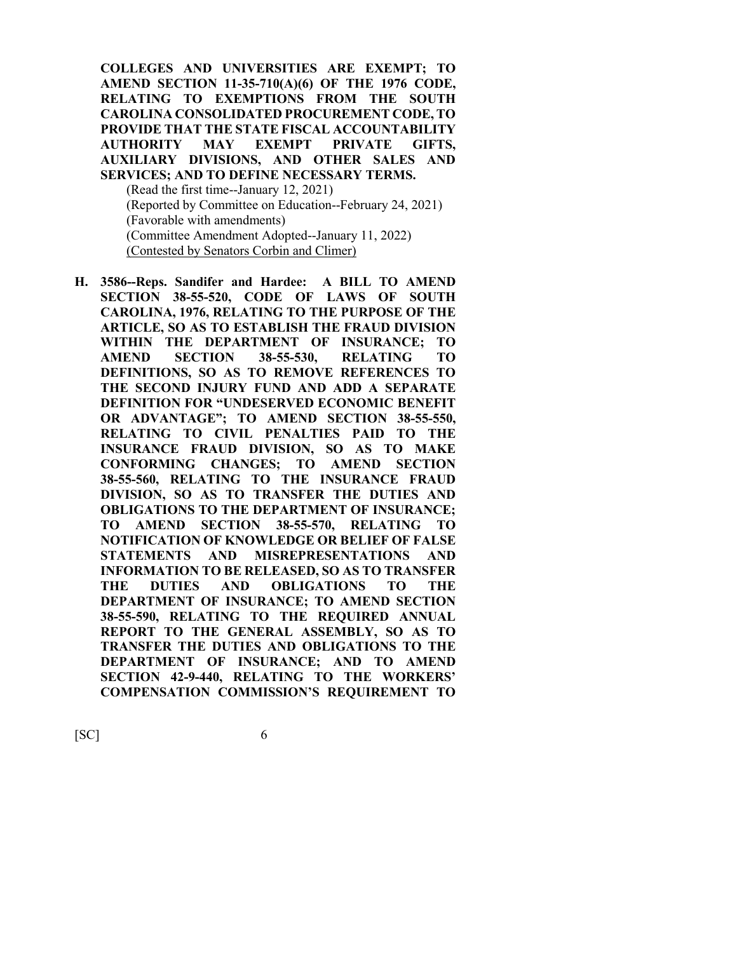**COLLEGES AND UNIVERSITIES ARE EXEMPT; TO AMEND SECTION 11-35-710(A)(6) OF THE 1976 CODE, RELATING TO EXEMPTIONS FROM THE SOUTH CAROLINA CONSOLIDATED PROCUREMENT CODE, TO PROVIDE THAT THE STATE FISCAL ACCOUNTABILITY AUTHORITY MAY EXEMPT PRIVATE GIFTS, AUXILIARY DIVISIONS, AND OTHER SALES AND SERVICES; AND TO DEFINE NECESSARY TERMS.** (Read the first time--January 12, 2021) (Reported by Committee on Education--February 24, 2021) (Favorable with amendments) (Committee Amendment Adopted--January 11, 2022) (Contested by Senators Corbin and Climer)

**H. 3586--Reps. Sandifer and Hardee: A BILL TO AMEND SECTION 38-55-520, CODE OF LAWS OF SOUTH CAROLINA, 1976, RELATING TO THE PURPOSE OF THE ARTICLE, SO AS TO ESTABLISH THE FRAUD DIVISION WITHIN THE DEPARTMENT OF INSURANCE; TO AMEND SECTION 38-55-530, RELATING TO DEFINITIONS, SO AS TO REMOVE REFERENCES TO THE SECOND INJURY FUND AND ADD A SEPARATE DEFINITION FOR "UNDESERVED ECONOMIC BENEFIT OR ADVANTAGE"; TO AMEND SECTION 38-55-550, RELATING TO CIVIL PENALTIES PAID TO THE INSURANCE FRAUD DIVISION, SO AS TO MAKE CONFORMING CHANGES; TO AMEND SECTION 38-55-560, RELATING TO THE INSURANCE FRAUD DIVISION, SO AS TO TRANSFER THE DUTIES AND OBLIGATIONS TO THE DEPARTMENT OF INSURANCE; TO AMEND SECTION 38-55-570, RELATING TO NOTIFICATION OF KNOWLEDGE OR BELIEF OF FALSE STATEMENTS AND MISREPRESENTATIONS AND INFORMATION TO BE RELEASED, SO AS TO TRANSFER THE DUTIES AND OBLIGATIONS TO THE DEPARTMENT OF INSURANCE; TO AMEND SECTION 38-55-590, RELATING TO THE REQUIRED ANNUAL REPORT TO THE GENERAL ASSEMBLY, SO AS TO TRANSFER THE DUTIES AND OBLIGATIONS TO THE DEPARTMENT OF INSURANCE; AND TO AMEND SECTION 42-9-440, RELATING TO THE WORKERS' COMPENSATION COMMISSION'S REQUIREMENT TO**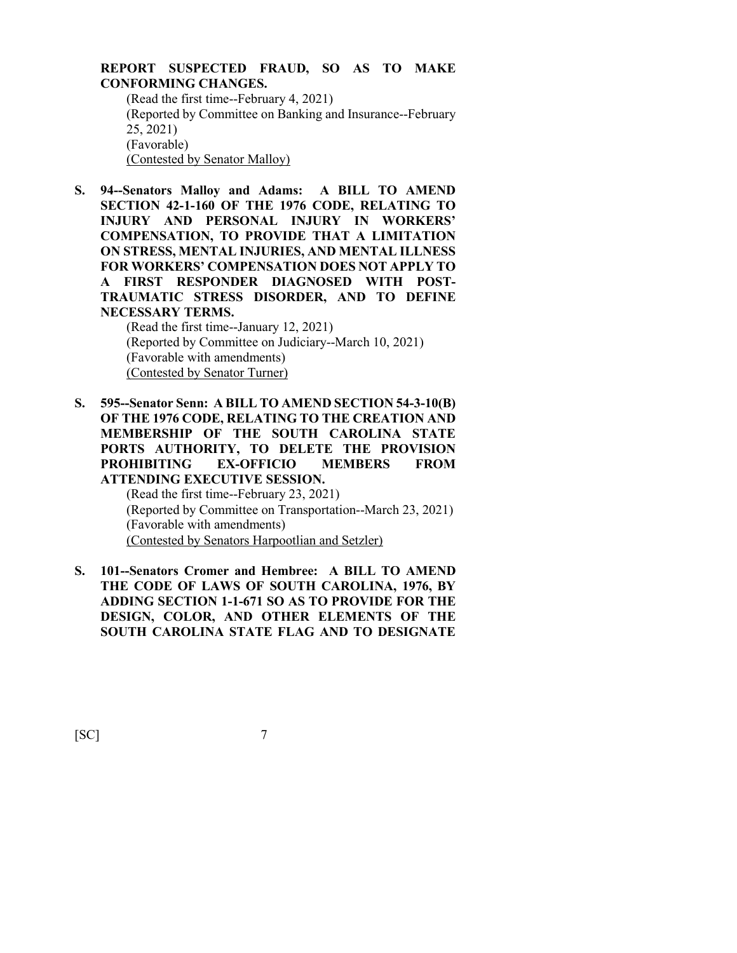#### **REPORT SUSPECTED FRAUD, SO AS TO MAKE CONFORMING CHANGES.** (Read the first time--February 4, 2021) (Reported by Committee on Banking and Insurance--February 25, 2021)

(Favorable)

(Contested by Senator Malloy)

**S. 94--Senators Malloy and Adams: A BILL TO AMEND SECTION 42-1-160 OF THE 1976 CODE, RELATING TO INJURY AND PERSONAL INJURY IN WORKERS' COMPENSATION, TO PROVIDE THAT A LIMITATION ON STRESS, MENTAL INJURIES, AND MENTAL ILLNESS FOR WORKERS' COMPENSATION DOES NOT APPLY TO A FIRST RESPONDER DIAGNOSED WITH POST-TRAUMATIC STRESS DISORDER, AND TO DEFINE NECESSARY TERMS.**

(Read the first time--January 12, 2021) (Reported by Committee on Judiciary--March 10, 2021) (Favorable with amendments) (Contested by Senator Turner)

**S. 595--Senator Senn: A BILL TO AMEND SECTION 54-3-10(B) OF THE 1976 CODE, RELATING TO THE CREATION AND MEMBERSHIP OF THE SOUTH CAROLINA STATE PORTS AUTHORITY, TO DELETE THE PROVISION PROHIBITING EX-OFFICIO MEMBERS FROM ATTENDING EXECUTIVE SESSION.**

> (Read the first time--February 23, 2021) (Reported by Committee on Transportation--March 23, 2021) (Favorable with amendments) (Contested by Senators Harpootlian and Setzler)

**S. 101--Senators Cromer and Hembree: A BILL TO AMEND THE CODE OF LAWS OF SOUTH CAROLINA, 1976, BY ADDING SECTION 1-1-671 SO AS TO PROVIDE FOR THE DESIGN, COLOR, AND OTHER ELEMENTS OF THE SOUTH CAROLINA STATE FLAG AND TO DESIGNATE**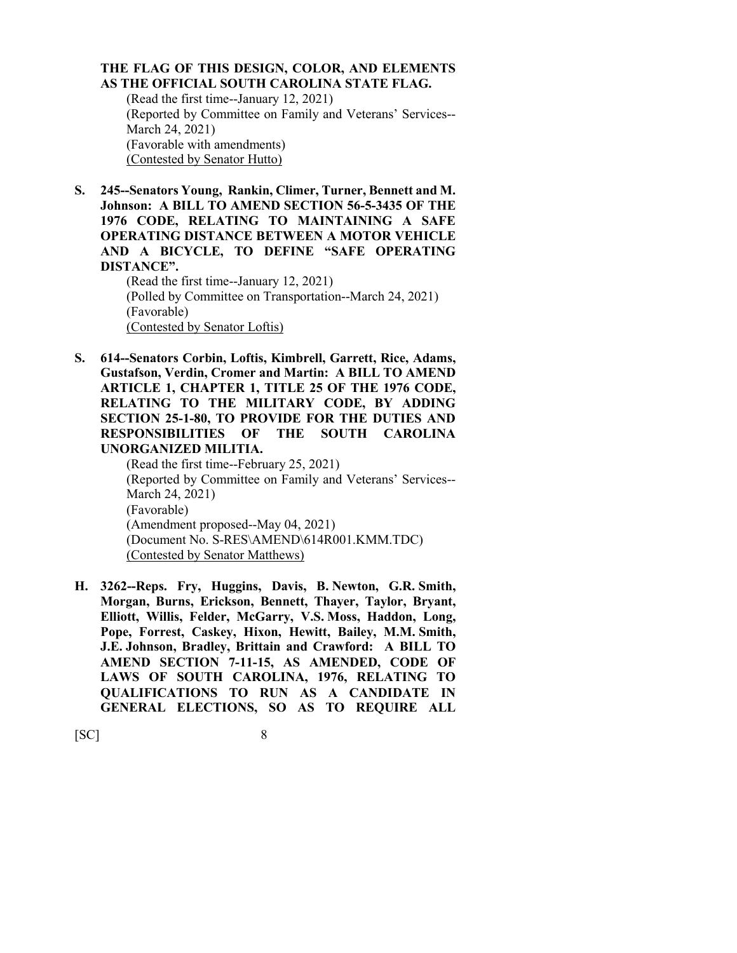#### **THE FLAG OF THIS DESIGN, COLOR, AND ELEMENTS AS THE OFFICIAL SOUTH CAROLINA STATE FLAG.**

(Read the first time--January 12, 2021) (Reported by Committee on Family and Veterans' Services-- March 24, 2021) (Favorable with amendments) (Contested by Senator Hutto)

**S. 245--Senators Young, Rankin, Climer, Turner, Bennett and M. Johnson: A BILL TO AMEND SECTION 56-5-3435 OF THE 1976 CODE, RELATING TO MAINTAINING A SAFE OPERATING DISTANCE BETWEEN A MOTOR VEHICLE AND A BICYCLE, TO DEFINE "SAFE OPERATING DISTANCE".**

(Read the first time--January 12, 2021) (Polled by Committee on Transportation--March 24, 2021) (Favorable) (Contested by Senator Loftis)

**S. 614--Senators Corbin, Loftis, Kimbrell, Garrett, Rice, Adams, Gustafson, Verdin, Cromer and Martin: A BILL TO AMEND ARTICLE 1, CHAPTER 1, TITLE 25 OF THE 1976 CODE, RELATING TO THE MILITARY CODE, BY ADDING SECTION 25-1-80, TO PROVIDE FOR THE DUTIES AND RESPONSIBILITIES OF THE SOUTH CAROLINA UNORGANIZED MILITIA.**

(Read the first time--February 25, 2021) (Reported by Committee on Family and Veterans' Services-- March 24, 2021) (Favorable) (Amendment proposed--May 04, 2021) (Document No. S-RES\AMEND\614R001.KMM.TDC) (Contested by Senator Matthews)

**H. 3262--Reps. Fry, Huggins, Davis, B. Newton, G.R. Smith, Morgan, Burns, Erickson, Bennett, Thayer, Taylor, Bryant, Elliott, Willis, Felder, McGarry, V.S. Moss, Haddon, Long, Pope, Forrest, Caskey, Hixon, Hewitt, Bailey, M.M. Smith, J.E. Johnson, Bradley, Brittain and Crawford: A BILL TO AMEND SECTION 7-11-15, AS AMENDED, CODE OF LAWS OF SOUTH CAROLINA, 1976, RELATING TO QUALIFICATIONS TO RUN AS A CANDIDATE IN GENERAL ELECTIONS, SO AS TO REQUIRE ALL**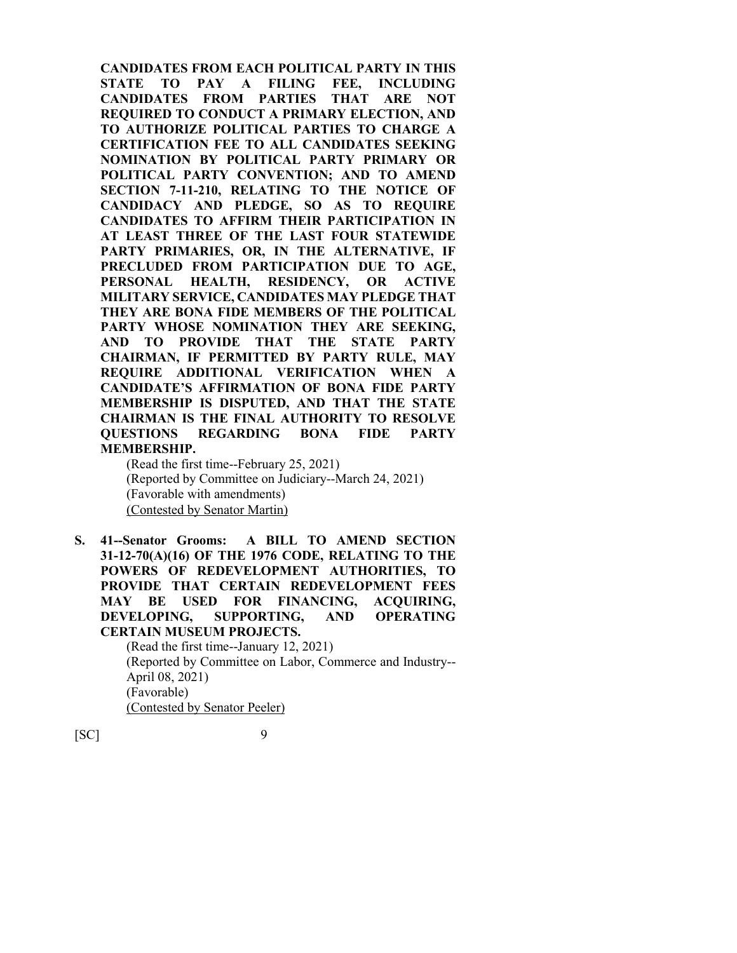**CANDIDATES FROM EACH POLITICAL PARTY IN THIS STATE TO PAY A FILING FEE, INCLUDING CANDIDATES FROM PARTIES THAT ARE NOT REQUIRED TO CONDUCT A PRIMARY ELECTION, AND TO AUTHORIZE POLITICAL PARTIES TO CHARGE A CERTIFICATION FEE TO ALL CANDIDATES SEEKING NOMINATION BY POLITICAL PARTY PRIMARY OR POLITICAL PARTY CONVENTION; AND TO AMEND SECTION 7-11-210, RELATING TO THE NOTICE OF CANDIDACY AND PLEDGE, SO AS TO REQUIRE CANDIDATES TO AFFIRM THEIR PARTICIPATION IN AT LEAST THREE OF THE LAST FOUR STATEWIDE PARTY PRIMARIES, OR, IN THE ALTERNATIVE, IF PRECLUDED FROM PARTICIPATION DUE TO AGE, PERSONAL HEALTH, RESIDENCY, OR ACTIVE MILITARY SERVICE, CANDIDATES MAY PLEDGE THAT THEY ARE BONA FIDE MEMBERS OF THE POLITICAL PARTY WHOSE NOMINATION THEY ARE SEEKING, AND TO PROVIDE THAT THE STATE PARTY CHAIRMAN, IF PERMITTED BY PARTY RULE, MAY REQUIRE ADDITIONAL VERIFICATION WHEN A CANDIDATE'S AFFIRMATION OF BONA FIDE PARTY MEMBERSHIP IS DISPUTED, AND THAT THE STATE CHAIRMAN IS THE FINAL AUTHORITY TO RESOLVE QUESTIONS REGARDING BONA FIDE PARTY MEMBERSHIP.**

(Read the first time--February 25, 2021) (Reported by Committee on Judiciary--March 24, 2021) (Favorable with amendments) (Contested by Senator Martin)

**S. 41--Senator Grooms: A BILL TO AMEND SECTION 31-12-70(A)(16) OF THE 1976 CODE, RELATING TO THE POWERS OF REDEVELOPMENT AUTHORITIES, TO PROVIDE THAT CERTAIN REDEVELOPMENT FEES MAY BE USED FOR FINANCING, ACQUIRING, DEVELOPING, SUPPORTING, AND OPERATING CERTAIN MUSEUM PROJECTS.**

(Read the first time--January 12, 2021) (Reported by Committee on Labor, Commerce and Industry-- April 08, 2021) (Favorable) (Contested by Senator Peeler)

 $[SC]$  9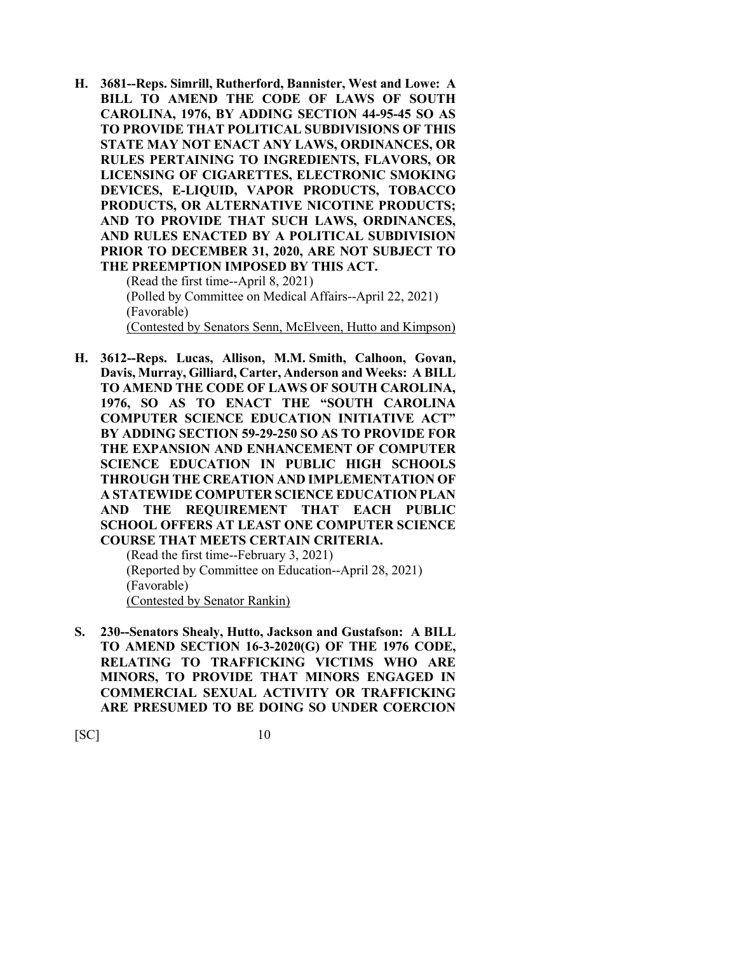**H. 3681--Reps. Simrill, Rutherford, Bannister, West and Lowe: A BILL TO AMEND THE CODE OF LAWS OF SOUTH CAROLINA, 1976, BY ADDING SECTION 44-95-45 SO AS TO PROVIDE THAT POLITICAL SUBDIVISIONS OF THIS STATE MAY NOT ENACT ANY LAWS, ORDINANCES, OR RULES PERTAINING TO INGREDIENTS, FLAVORS, OR LICENSING OF CIGARETTES, ELECTRONIC SMOKING DEVICES, E-LIQUID, VAPOR PRODUCTS, TOBACCO PRODUCTS, OR ALTERNATIVE NICOTINE PRODUCTS; AND TO PROVIDE THAT SUCH LAWS, ORDINANCES, AND RULES ENACTED BY A POLITICAL SUBDIVISION PRIOR TO DECEMBER 31, 2020, ARE NOT SUBJECT TO THE PREEMPTION IMPOSED BY THIS ACT.**

(Read the first time--April 8, 2021) (Polled by Committee on Medical Affairs--April 22, 2021) (Favorable) (Contested by Senators Senn, McElveen, Hutto and Kimpson)

**H. 3612--Reps. Lucas, Allison, M.M. Smith, Calhoon, Govan, Davis, Murray, Gilliard, Carter, Anderson and Weeks: A BILL TO AMEND THE CODE OF LAWS OF SOUTH CAROLINA, 1976, SO AS TO ENACT THE "SOUTH CAROLINA COMPUTER SCIENCE EDUCATION INITIATIVE ACT" BY ADDING SECTION 59-29-250 SO AS TO PROVIDE FOR THE EXPANSION AND ENHANCEMENT OF COMPUTER SCIENCE EDUCATION IN PUBLIC HIGH SCHOOLS THROUGH THE CREATION AND IMPLEMENTATION OF A STATEWIDE COMPUTER SCIENCE EDUCATION PLAN AND THE REQUIREMENT THAT EACH PUBLIC SCHOOL OFFERS AT LEAST ONE COMPUTER SCIENCE COURSE THAT MEETS CERTAIN CRITERIA.**

(Read the first time--February 3, 2021) (Reported by Committee on Education--April 28, 2021) (Favorable) (Contested by Senator Rankin)

**S. 230--Senators Shealy, Hutto, Jackson and Gustafson: A BILL TO AMEND SECTION 16-3-2020(G) OF THE 1976 CODE, RELATING TO TRAFFICKING VICTIMS WHO ARE MINORS, TO PROVIDE THAT MINORS ENGAGED IN COMMERCIAL SEXUAL ACTIVITY OR TRAFFICKING ARE PRESUMED TO BE DOING SO UNDER COERCION**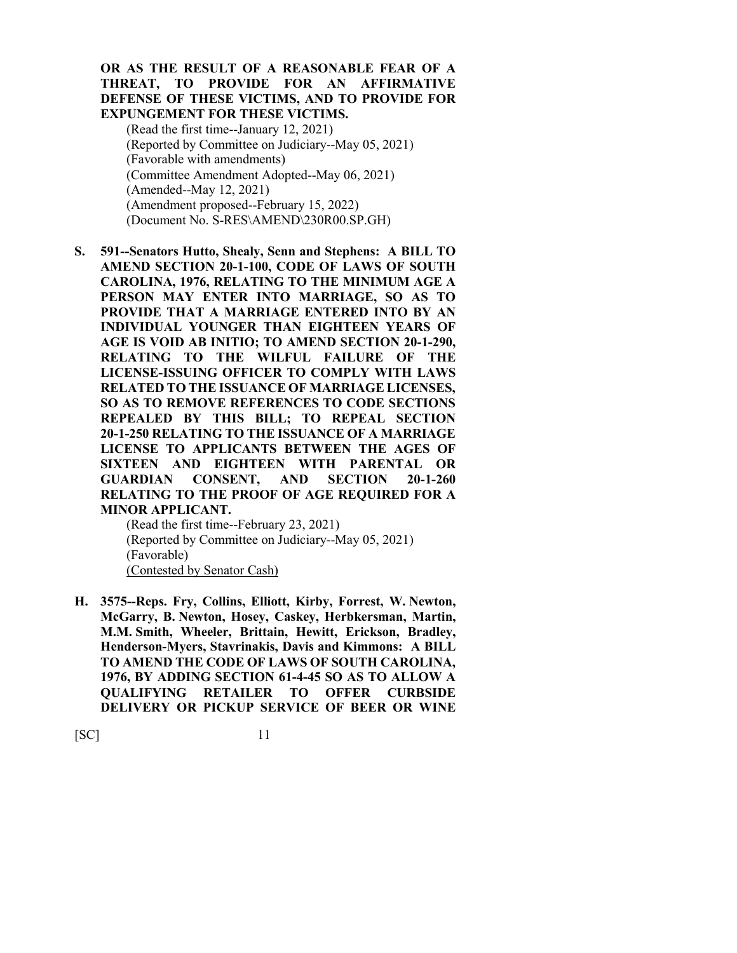#### **OR AS THE RESULT OF A REASONABLE FEAR OF A THREAT, TO PROVIDE FOR AN AFFIRMATIVE DEFENSE OF THESE VICTIMS, AND TO PROVIDE FOR EXPUNGEMENT FOR THESE VICTIMS.**

(Read the first time--January 12, 2021) (Reported by Committee on Judiciary--May 05, 2021) (Favorable with amendments) (Committee Amendment Adopted--May 06, 2021) (Amended--May 12, 2021) (Amendment proposed--February 15, 2022) (Document No. S-RES\AMEND\230R00.SP.GH)

**S. 591--Senators Hutto, Shealy, Senn and Stephens: A BILL TO AMEND SECTION 20-1-100, CODE OF LAWS OF SOUTH CAROLINA, 1976, RELATING TO THE MINIMUM AGE A PERSON MAY ENTER INTO MARRIAGE, SO AS TO PROVIDE THAT A MARRIAGE ENTERED INTO BY AN INDIVIDUAL YOUNGER THAN EIGHTEEN YEARS OF AGE IS VOID AB INITIO; TO AMEND SECTION 20-1-290, RELATING TO THE WILFUL FAILURE OF THE LICENSE-ISSUING OFFICER TO COMPLY WITH LAWS RELATED TO THE ISSUANCE OF MARRIAGE LICENSES, SO AS TO REMOVE REFERENCES TO CODE SECTIONS REPEALED BY THIS BILL; TO REPEAL SECTION 20-1-250 RELATING TO THE ISSUANCE OF A MARRIAGE LICENSE TO APPLICANTS BETWEEN THE AGES OF SIXTEEN AND EIGHTEEN WITH PARENTAL OR GUARDIAN CONSENT, AND SECTION 20-1-260 RELATING TO THE PROOF OF AGE REQUIRED FOR A MINOR APPLICANT.**

(Read the first time--February 23, 2021) (Reported by Committee on Judiciary--May 05, 2021) (Favorable) (Contested by Senator Cash)

**H. 3575--Reps. Fry, Collins, Elliott, Kirby, Forrest, W. Newton, McGarry, B. Newton, Hosey, Caskey, Herbkersman, Martin, M.M. Smith, Wheeler, Brittain, Hewitt, Erickson, Bradley, Henderson-Myers, Stavrinakis, Davis and Kimmons: A BILL TO AMEND THE CODE OF LAWS OF SOUTH CAROLINA, 1976, BY ADDING SECTION 61-4-45 SO AS TO ALLOW A QUALIFYING RETAILER TO OFFER CURBSIDE DELIVERY OR PICKUP SERVICE OF BEER OR WINE**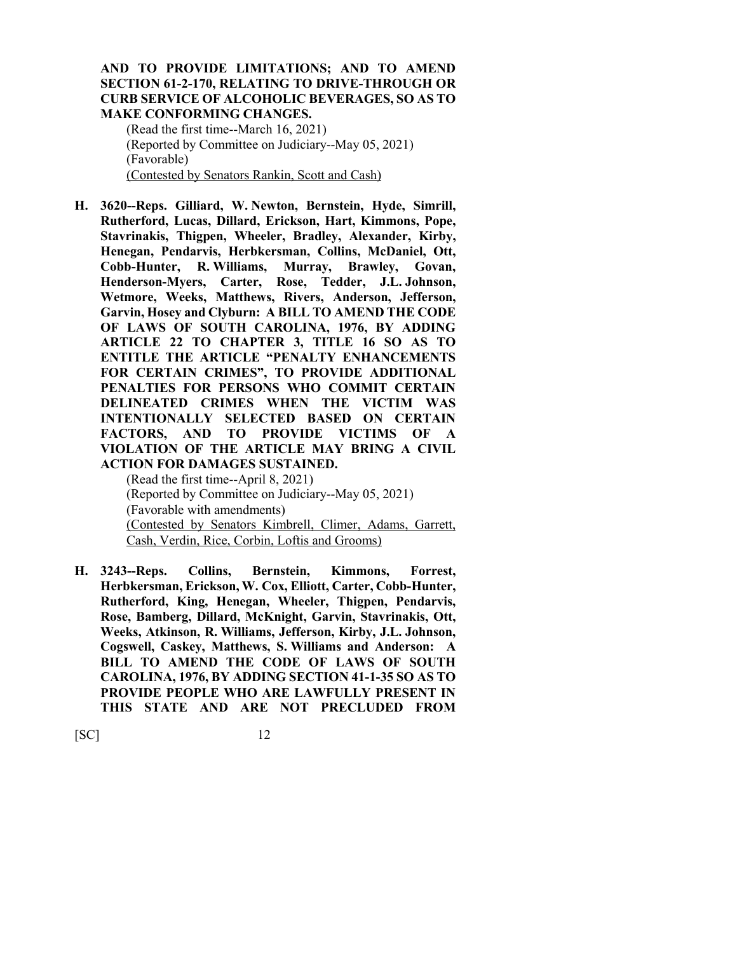#### **AND TO PROVIDE LIMITATIONS; AND TO AMEND SECTION 61-2-170, RELATING TO DRIVE-THROUGH OR CURB SERVICE OF ALCOHOLIC BEVERAGES, SO AS TO MAKE CONFORMING CHANGES.**

(Read the first time--March 16, 2021) (Reported by Committee on Judiciary--May 05, 2021) (Favorable) (Contested by Senators Rankin, Scott and Cash)

**H. 3620--Reps. Gilliard, W. Newton, Bernstein, Hyde, Simrill, Rutherford, Lucas, Dillard, Erickson, Hart, Kimmons, Pope, Stavrinakis, Thigpen, Wheeler, Bradley, Alexander, Kirby, Henegan, Pendarvis, Herbkersman, Collins, McDaniel, Ott, Cobb-Hunter, R. Williams, Murray, Brawley, Govan, Henderson-Myers, Carter, Rose, Tedder, J.L. Johnson, Wetmore, Weeks, Matthews, Rivers, Anderson, Jefferson, Garvin, Hosey and Clyburn: A BILL TO AMEND THE CODE OF LAWS OF SOUTH CAROLINA, 1976, BY ADDING ARTICLE 22 TO CHAPTER 3, TITLE 16 SO AS TO ENTITLE THE ARTICLE "PENALTY ENHANCEMENTS FOR CERTAIN CRIMES", TO PROVIDE ADDITIONAL PENALTIES FOR PERSONS WHO COMMIT CERTAIN DELINEATED CRIMES WHEN THE VICTIM WAS INTENTIONALLY SELECTED BASED ON CERTAIN FACTORS, AND TO PROVIDE VICTIMS OF A VIOLATION OF THE ARTICLE MAY BRING A CIVIL ACTION FOR DAMAGES SUSTAINED.**

(Read the first time--April 8, 2021) (Reported by Committee on Judiciary--May 05, 2021) (Favorable with amendments) (Contested by Senators Kimbrell, Climer, Adams, Garrett, Cash, Verdin, Rice, Corbin, Loftis and Grooms)

**H. 3243--Reps. Collins, Bernstein, Kimmons, Forrest, Herbkersman, Erickson, W. Cox, Elliott, Carter, Cobb-Hunter, Rutherford, King, Henegan, Wheeler, Thigpen, Pendarvis, Rose, Bamberg, Dillard, McKnight, Garvin, Stavrinakis, Ott, Weeks, Atkinson, R. Williams, Jefferson, Kirby, J.L. Johnson, Cogswell, Caskey, Matthews, S. Williams and Anderson: A BILL TO AMEND THE CODE OF LAWS OF SOUTH CAROLINA, 1976, BY ADDING SECTION 41-1-35 SO AS TO PROVIDE PEOPLE WHO ARE LAWFULLY PRESENT IN THIS STATE AND ARE NOT PRECLUDED FROM**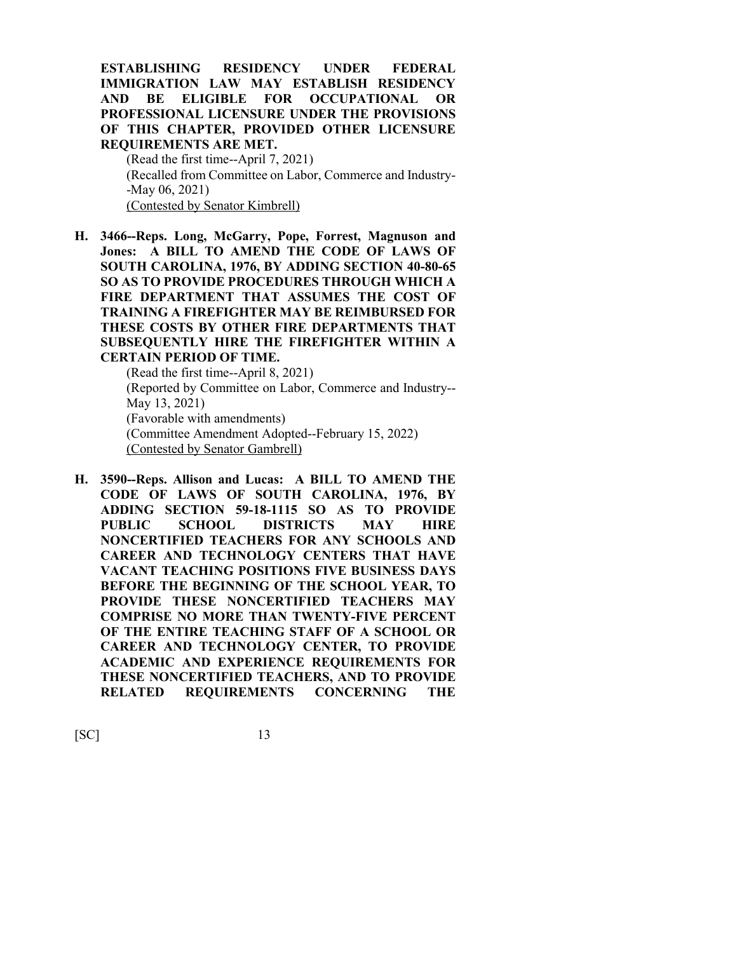**ESTABLISHING RESIDENCY UNDER FEDERAL IMMIGRATION LAW MAY ESTABLISH RESIDENCY AND BE ELIGIBLE FOR OCCUPATIONAL OR PROFESSIONAL LICENSURE UNDER THE PROVISIONS OF THIS CHAPTER, PROVIDED OTHER LICENSURE REQUIREMENTS ARE MET.**

(Read the first time--April 7, 2021) (Recalled from Committee on Labor, Commerce and Industry- -May 06, 2021) (Contested by Senator Kimbrell)

**H. 3466--Reps. Long, McGarry, Pope, Forrest, Magnuson and Jones: A BILL TO AMEND THE CODE OF LAWS OF SOUTH CAROLINA, 1976, BY ADDING SECTION 40-80-65 SO AS TO PROVIDE PROCEDURES THROUGH WHICH A FIRE DEPARTMENT THAT ASSUMES THE COST OF TRAINING A FIREFIGHTER MAY BE REIMBURSED FOR THESE COSTS BY OTHER FIRE DEPARTMENTS THAT SUBSEQUENTLY HIRE THE FIREFIGHTER WITHIN A CERTAIN PERIOD OF TIME.**

> (Read the first time--April 8, 2021) (Reported by Committee on Labor, Commerce and Industry-- May 13, 2021) (Favorable with amendments) (Committee Amendment Adopted--February 15, 2022) (Contested by Senator Gambrell)

**H. 3590--Reps. Allison and Lucas: A BILL TO AMEND THE CODE OF LAWS OF SOUTH CAROLINA, 1976, BY ADDING SECTION 59-18-1115 SO AS TO PROVIDE PUBLIC SCHOOL DISTRICTS MAY HIRE NONCERTIFIED TEACHERS FOR ANY SCHOOLS AND CAREER AND TECHNOLOGY CENTERS THAT HAVE VACANT TEACHING POSITIONS FIVE BUSINESS DAYS BEFORE THE BEGINNING OF THE SCHOOL YEAR, TO PROVIDE THESE NONCERTIFIED TEACHERS MAY COMPRISE NO MORE THAN TWENTY-FIVE PERCENT OF THE ENTIRE TEACHING STAFF OF A SCHOOL OR CAREER AND TECHNOLOGY CENTER, TO PROVIDE ACADEMIC AND EXPERIENCE REQUIREMENTS FOR THESE NONCERTIFIED TEACHERS, AND TO PROVIDE RELATED REQUIREMENTS CONCERNING THE**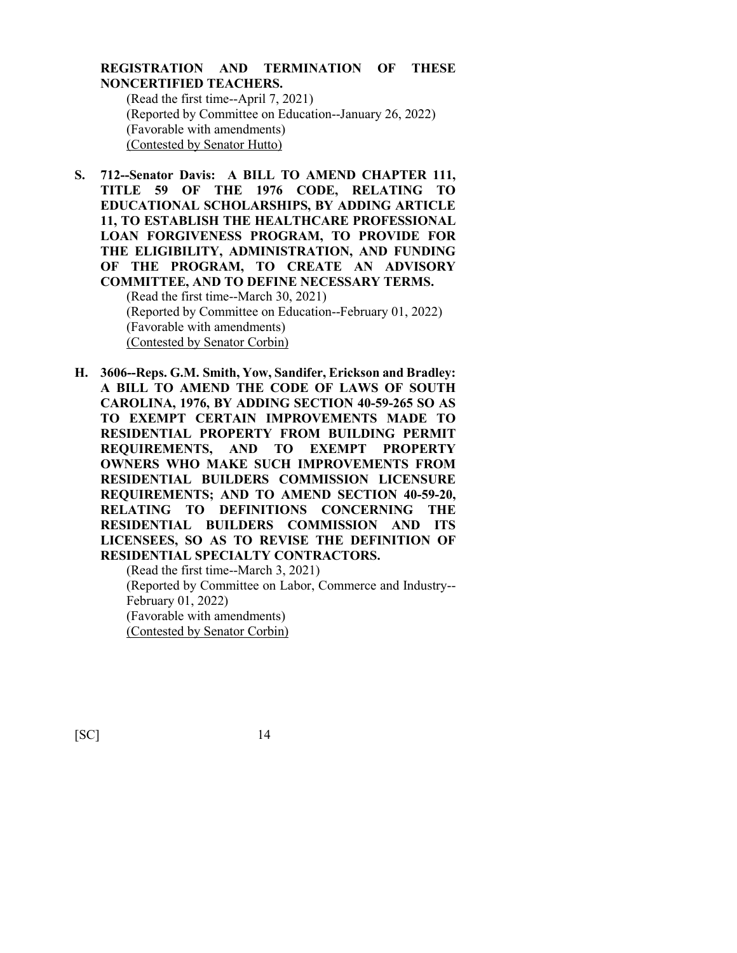#### **REGISTRATION AND TERMINATION OF THESE NONCERTIFIED TEACHERS.**

(Read the first time--April 7, 2021) (Reported by Committee on Education--January 26, 2022) (Favorable with amendments) (Contested by Senator Hutto)

- **S. 712--Senator Davis: A BILL TO AMEND CHAPTER 111, TITLE 59 OF THE 1976 CODE, RELATING TO EDUCATIONAL SCHOLARSHIPS, BY ADDING ARTICLE 11, TO ESTABLISH THE HEALTHCARE PROFESSIONAL LOAN FORGIVENESS PROGRAM, TO PROVIDE FOR THE ELIGIBILITY, ADMINISTRATION, AND FUNDING OF THE PROGRAM, TO CREATE AN ADVISORY COMMITTEE, AND TO DEFINE NECESSARY TERMS.** (Read the first time--March 30, 2021) (Reported by Committee on Education--February 01, 2022) (Favorable with amendments) (Contested by Senator Corbin)
- **H. 3606--Reps. G.M. Smith, Yow, Sandifer, Erickson and Bradley: A BILL TO AMEND THE CODE OF LAWS OF SOUTH CAROLINA, 1976, BY ADDING SECTION 40-59-265 SO AS TO EXEMPT CERTAIN IMPROVEMENTS MADE TO RESIDENTIAL PROPERTY FROM BUILDING PERMIT REQUIREMENTS, AND TO EXEMPT PROPERTY OWNERS WHO MAKE SUCH IMPROVEMENTS FROM RESIDENTIAL BUILDERS COMMISSION LICENSURE REQUIREMENTS; AND TO AMEND SECTION 40-59-20, RELATING TO DEFINITIONS CONCERNING THE RESIDENTIAL BUILDERS COMMISSION AND ITS LICENSEES, SO AS TO REVISE THE DEFINITION OF RESIDENTIAL SPECIALTY CONTRACTORS.**

(Read the first time--March 3, 2021) (Reported by Committee on Labor, Commerce and Industry-- February 01, 2022) (Favorable with amendments) (Contested by Senator Corbin)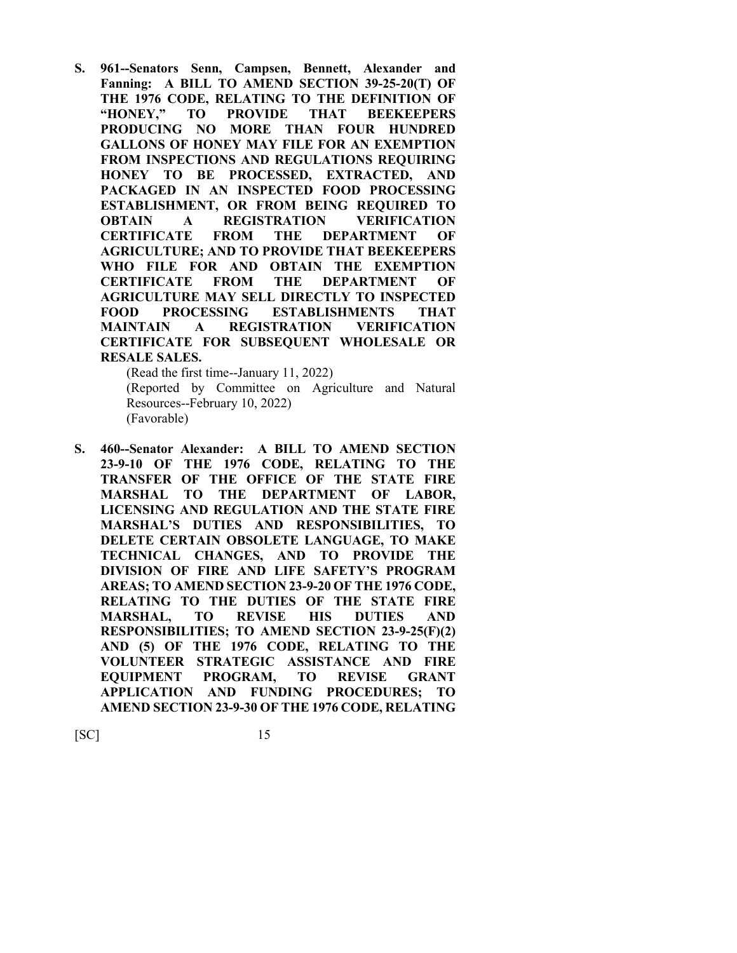**S. 961--Senators Senn, Campsen, Bennett, Alexander and Fanning: A BILL TO AMEND SECTION 39-25-20(T) OF THE 1976 CODE, RELATING TO THE DEFINITION OF "HONEY," TO PROVIDE THAT BEEKEEPERS PRODUCING NO MORE THAN FOUR HUNDRED GALLONS OF HONEY MAY FILE FOR AN EXEMPTION FROM INSPECTIONS AND REGULATIONS REQUIRING HONEY TO BE PROCESSED, EXTRACTED, AND PACKAGED IN AN INSPECTED FOOD PROCESSING ESTABLISHMENT, OR FROM BEING REQUIRED TO OBTAIN A REGISTRATION VERIFICATION CERTIFICATE FROM THE DEPARTMENT OF AGRICULTURE; AND TO PROVIDE THAT BEEKEEPERS WHO FILE FOR AND OBTAIN THE EXEMPTION CERTIFICATE FROM THE DEPARTMENT OF AGRICULTURE MAY SELL DIRECTLY TO INSPECTED FOOD PROCESSING ESTABLISHMENTS THAT MAINTAIN A REGISTRATION VERIFICATION CERTIFICATE FOR SUBSEQUENT WHOLESALE OR RESALE SALES.**

(Read the first time--January 11, 2022) (Reported by Committee on Agriculture and Natural Resources--February 10, 2022) (Favorable)

**S. 460--Senator Alexander: A BILL TO AMEND SECTION 23-9-10 OF THE 1976 CODE, RELATING TO THE TRANSFER OF THE OFFICE OF THE STATE FIRE MARSHAL TO THE DEPARTMENT OF LABOR, LICENSING AND REGULATION AND THE STATE FIRE MARSHAL'S DUTIES AND RESPONSIBILITIES, TO DELETE CERTAIN OBSOLETE LANGUAGE, TO MAKE TECHNICAL CHANGES, AND TO PROVIDE THE DIVISION OF FIRE AND LIFE SAFETY'S PROGRAM AREAS; TO AMEND SECTION 23-9-20 OF THE 1976 CODE, RELATING TO THE DUTIES OF THE STATE FIRE MARSHAL, TO REVISE HIS DUTIES AND RESPONSIBILITIES; TO AMEND SECTION 23-9-25(F)(2) AND (5) OF THE 1976 CODE, RELATING TO THE VOLUNTEER STRATEGIC ASSISTANCE AND FIRE EQUIPMENT PROGRAM, TO REVISE GRANT APPLICATION AND FUNDING PROCEDURES; TO AMEND SECTION 23-9-30 OF THE 1976 CODE, RELATING**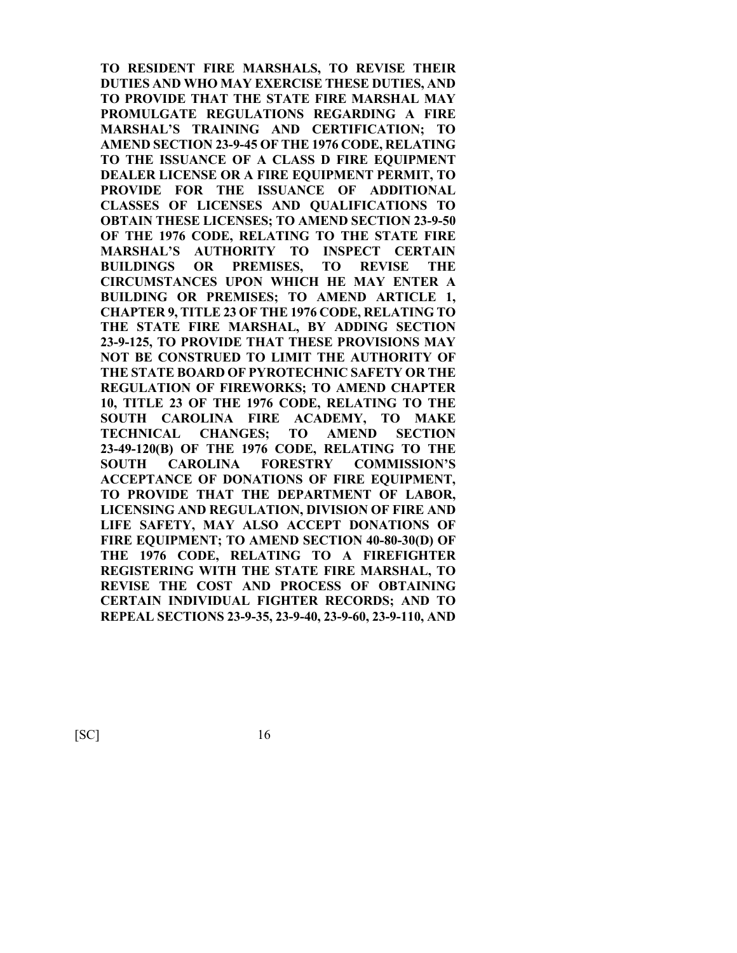**TO RESIDENT FIRE MARSHALS, TO REVISE THEIR DUTIES AND WHO MAY EXERCISE THESE DUTIES, AND TO PROVIDE THAT THE STATE FIRE MARSHAL MAY PROMULGATE REGULATIONS REGARDING A FIRE MARSHAL'S TRAINING AND CERTIFICATION; TO AMEND SECTION 23-9-45 OF THE 1976 CODE, RELATING TO THE ISSUANCE OF A CLASS D FIRE EQUIPMENT DEALER LICENSE OR A FIRE EQUIPMENT PERMIT, TO PROVIDE FOR THE ISSUANCE OF ADDITIONAL CLASSES OF LICENSES AND QUALIFICATIONS TO OBTAIN THESE LICENSES; TO AMEND SECTION 23-9-50 OF THE 1976 CODE, RELATING TO THE STATE FIRE MARSHAL'S AUTHORITY TO INSPECT CERTAIN BUILDINGS OR PREMISES, TO REVISE THE CIRCUMSTANCES UPON WHICH HE MAY ENTER A BUILDING OR PREMISES; TO AMEND ARTICLE 1, CHAPTER 9, TITLE 23 OF THE 1976 CODE, RELATING TO THE STATE FIRE MARSHAL, BY ADDING SECTION 23-9-125, TO PROVIDE THAT THESE PROVISIONS MAY NOT BE CONSTRUED TO LIMIT THE AUTHORITY OF THE STATE BOARD OF PYROTECHNIC SAFETY OR THE REGULATION OF FIREWORKS; TO AMEND CHAPTER 10, TITLE 23 OF THE 1976 CODE, RELATING TO THE SOUTH CAROLINA FIRE ACADEMY, TO MAKE TECHNICAL CHANGES; TO AMEND SECTION 23-49-120(B) OF THE 1976 CODE, RELATING TO THE SOUTH CAROLINA FORESTRY COMMISSION'S ACCEPTANCE OF DONATIONS OF FIRE EQUIPMENT, TO PROVIDE THAT THE DEPARTMENT OF LABOR, LICENSING AND REGULATION, DIVISION OF FIRE AND LIFE SAFETY, MAY ALSO ACCEPT DONATIONS OF FIRE EQUIPMENT; TO AMEND SECTION 40-80-30(D) OF THE 1976 CODE, RELATING TO A FIREFIGHTER REGISTERING WITH THE STATE FIRE MARSHAL, TO REVISE THE COST AND PROCESS OF OBTAINING CERTAIN INDIVIDUAL FIGHTER RECORDS; AND TO REPEAL SECTIONS 23-9-35, 23-9-40, 23-9-60, 23-9-110, AND**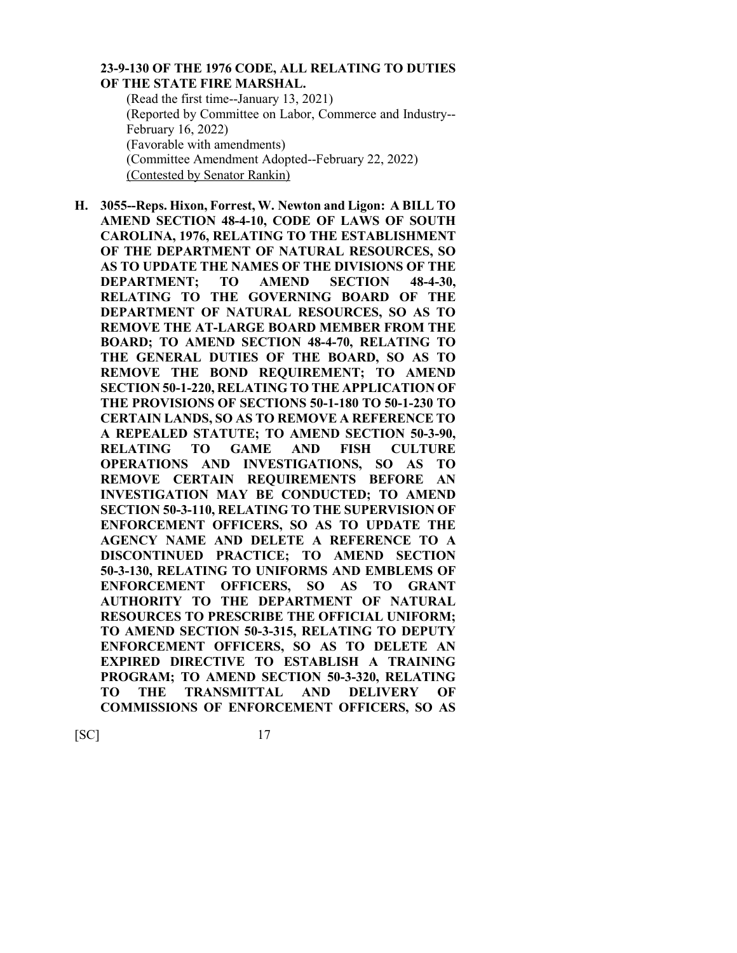#### **23-9-130 OF THE 1976 CODE, ALL RELATING TO DUTIES OF THE STATE FIRE MARSHAL.**

(Read the first time--January 13, 2021) (Reported by Committee on Labor, Commerce and Industry-- February 16, 2022) (Favorable with amendments) (Committee Amendment Adopted--February 22, 2022) (Contested by Senator Rankin)

**H. 3055--Reps. Hixon, Forrest, W. Newton and Ligon: A BILL TO AMEND SECTION 48-4-10, CODE OF LAWS OF SOUTH CAROLINA, 1976, RELATING TO THE ESTABLISHMENT OF THE DEPARTMENT OF NATURAL RESOURCES, SO AS TO UPDATE THE NAMES OF THE DIVISIONS OF THE DEPARTMENT; TO AMEND SECTION 48-4-30, RELATING TO THE GOVERNING BOARD OF THE DEPARTMENT OF NATURAL RESOURCES, SO AS TO REMOVE THE AT-LARGE BOARD MEMBER FROM THE BOARD; TO AMEND SECTION 48-4-70, RELATING TO THE GENERAL DUTIES OF THE BOARD, SO AS TO REMOVE THE BOND REQUIREMENT; TO AMEND SECTION 50-1-220, RELATING TO THE APPLICATION OF THE PROVISIONS OF SECTIONS 50-1-180 TO 50-1-230 TO CERTAIN LANDS, SO AS TO REMOVE A REFERENCE TO A REPEALED STATUTE; TO AMEND SECTION 50-3-90, RELATING TO GAME AND FISH CULTURE OPERATIONS AND INVESTIGATIONS, SO AS TO REMOVE CERTAIN REQUIREMENTS BEFORE AN INVESTIGATION MAY BE CONDUCTED; TO AMEND SECTION 50-3-110, RELATING TO THE SUPERVISION OF ENFORCEMENT OFFICERS, SO AS TO UPDATE THE AGENCY NAME AND DELETE A REFERENCE TO A DISCONTINUED PRACTICE; TO AMEND SECTION 50-3-130, RELATING TO UNIFORMS AND EMBLEMS OF ENFORCEMENT OFFICERS, SO AS TO GRANT AUTHORITY TO THE DEPARTMENT OF NATURAL RESOURCES TO PRESCRIBE THE OFFICIAL UNIFORM; TO AMEND SECTION 50-3-315, RELATING TO DEPUTY ENFORCEMENT OFFICERS, SO AS TO DELETE AN EXPIRED DIRECTIVE TO ESTABLISH A TRAINING PROGRAM; TO AMEND SECTION 50-3-320, RELATING TO THE TRANSMITTAL AND DELIVERY OF COMMISSIONS OF ENFORCEMENT OFFICERS, SO AS**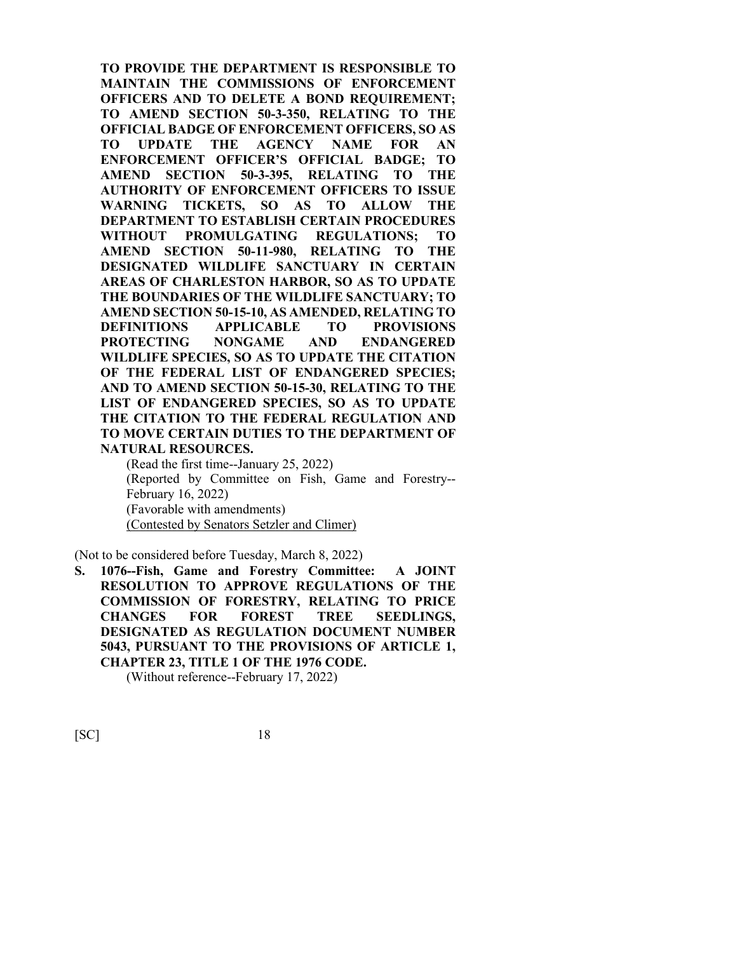**TO PROVIDE THE DEPARTMENT IS RESPONSIBLE TO MAINTAIN THE COMMISSIONS OF ENFORCEMENT OFFICERS AND TO DELETE A BOND REQUIREMENT; TO AMEND SECTION 50-3-350, RELATING TO THE OFFICIAL BADGE OF ENFORCEMENT OFFICERS, SO AS TO UPDATE THE AGENCY NAME FOR AN ENFORCEMENT OFFICER'S OFFICIAL BADGE; TO AMEND SECTION 50-3-395, RELATING TO THE AUTHORITY OF ENFORCEMENT OFFICERS TO ISSUE WARNING TICKETS, SO AS TO ALLOW THE DEPARTMENT TO ESTABLISH CERTAIN PROCEDURES WITHOUT PROMULGATING REGULATIONS; TO AMEND SECTION 50-11-980, RELATING TO THE DESIGNATED WILDLIFE SANCTUARY IN CERTAIN AREAS OF CHARLESTON HARBOR, SO AS TO UPDATE THE BOUNDARIES OF THE WILDLIFE SANCTUARY; TO AMEND SECTION 50-15-10, AS AMENDED, RELATING TO DEFINITIONS APPLICABLE TO PROVISIONS PROTECTING NONGAME AND ENDANGERED WILDLIFE SPECIES, SO AS TO UPDATE THE CITATION OF THE FEDERAL LIST OF ENDANGERED SPECIES; AND TO AMEND SECTION 50-15-30, RELATING TO THE LIST OF ENDANGERED SPECIES, SO AS TO UPDATE THE CITATION TO THE FEDERAL REGULATION AND TO MOVE CERTAIN DUTIES TO THE DEPARTMENT OF NATURAL RESOURCES.**

(Read the first time--January 25, 2022) (Reported by Committee on Fish, Game and Forestry-- February 16, 2022) (Favorable with amendments) (Contested by Senators Setzler and Climer)

(Not to be considered before Tuesday, March 8, 2022)

**S. 1076--Fish, Game and Forestry Committee: A JOINT RESOLUTION TO APPROVE REGULATIONS OF THE COMMISSION OF FORESTRY, RELATING TO PRICE CHANGES FOR FOREST TREE SEEDLINGS, DESIGNATED AS REGULATION DOCUMENT NUMBER 5043, PURSUANT TO THE PROVISIONS OF ARTICLE 1, CHAPTER 23, TITLE 1 OF THE 1976 CODE.**

(Without reference--February 17, 2022)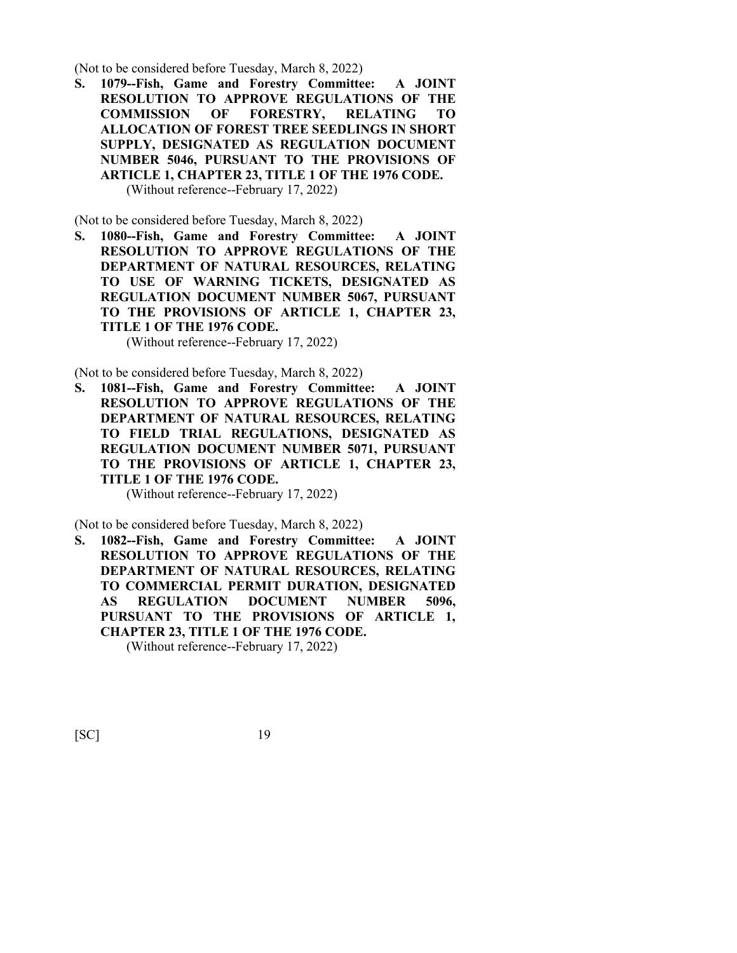(Not to be considered before Tuesday, March 8, 2022)

**S. 1079--Fish, Game and Forestry Committee: A JOINT RESOLUTION TO APPROVE REGULATIONS OF THE COMMISSION OF FORESTRY, RELATING TO ALLOCATION OF FOREST TREE SEEDLINGS IN SHORT SUPPLY, DESIGNATED AS REGULATION DOCUMENT NUMBER 5046, PURSUANT TO THE PROVISIONS OF ARTICLE 1, CHAPTER 23, TITLE 1 OF THE 1976 CODE.** (Without reference--February 17, 2022)

(Not to be considered before Tuesday, March 8, 2022)

**S. 1080--Fish, Game and Forestry Committee: A JOINT RESOLUTION TO APPROVE REGULATIONS OF THE DEPARTMENT OF NATURAL RESOURCES, RELATING TO USE OF WARNING TICKETS, DESIGNATED AS REGULATION DOCUMENT NUMBER 5067, PURSUANT TO THE PROVISIONS OF ARTICLE 1, CHAPTER 23, TITLE 1 OF THE 1976 CODE.**

(Without reference--February 17, 2022)

(Not to be considered before Tuesday, March 8, 2022)

**S. 1081--Fish, Game and Forestry Committee: A JOINT RESOLUTION TO APPROVE REGULATIONS OF THE DEPARTMENT OF NATURAL RESOURCES, RELATING TO FIELD TRIAL REGULATIONS, DESIGNATED AS REGULATION DOCUMENT NUMBER 5071, PURSUANT TO THE PROVISIONS OF ARTICLE 1, CHAPTER 23, TITLE 1 OF THE 1976 CODE.**

(Without reference--February 17, 2022)

(Not to be considered before Tuesday, March 8, 2022)

**S. 1082--Fish, Game and Forestry Committee: A JOINT RESOLUTION TO APPROVE REGULATIONS OF THE DEPARTMENT OF NATURAL RESOURCES, RELATING TO COMMERCIAL PERMIT DURATION, DESIGNATED AS REGULATION DOCUMENT NUMBER 5096, PURSUANT TO THE PROVISIONS OF ARTICLE 1, CHAPTER 23, TITLE 1 OF THE 1976 CODE.** (Without reference--February 17, 2022)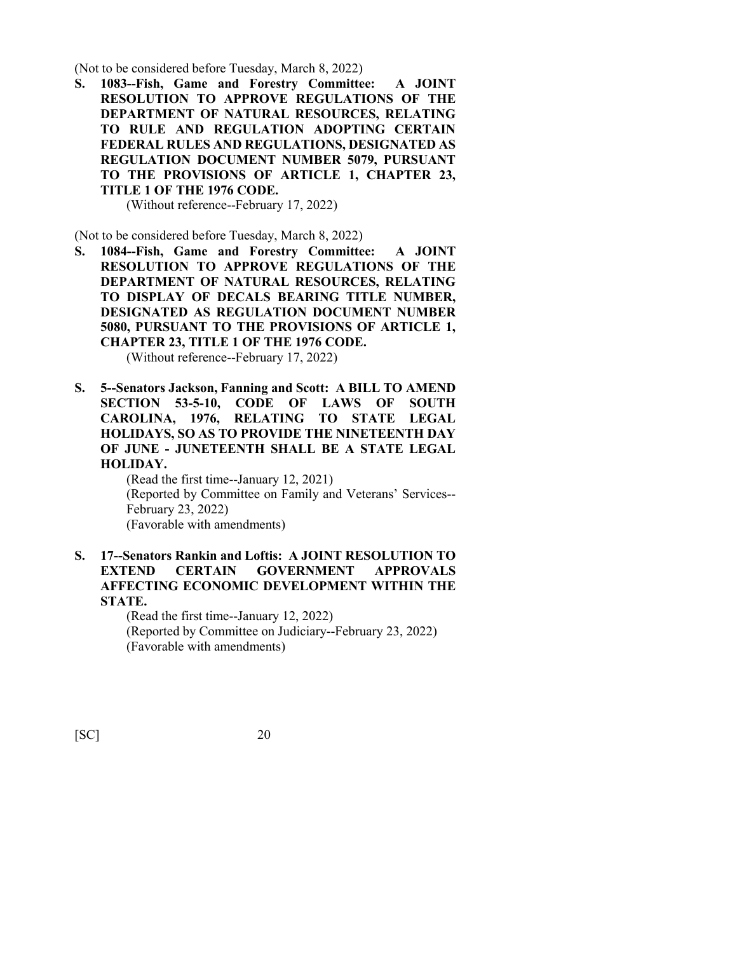(Not to be considered before Tuesday, March 8, 2022)

**S. 1083--Fish, Game and Forestry Committee: A JOINT RESOLUTION TO APPROVE REGULATIONS OF THE DEPARTMENT OF NATURAL RESOURCES, RELATING TO RULE AND REGULATION ADOPTING CERTAIN FEDERAL RULES AND REGULATIONS, DESIGNATED AS REGULATION DOCUMENT NUMBER 5079, PURSUANT TO THE PROVISIONS OF ARTICLE 1, CHAPTER 23, TITLE 1 OF THE 1976 CODE.**

(Without reference--February 17, 2022)

(Not to be considered before Tuesday, March 8, 2022)

**S. 1084--Fish, Game and Forestry Committee: A JOINT RESOLUTION TO APPROVE REGULATIONS OF THE DEPARTMENT OF NATURAL RESOURCES, RELATING TO DISPLAY OF DECALS BEARING TITLE NUMBER, DESIGNATED AS REGULATION DOCUMENT NUMBER 5080, PURSUANT TO THE PROVISIONS OF ARTICLE 1, CHAPTER 23, TITLE 1 OF THE 1976 CODE.**

(Without reference--February 17, 2022)

**S. 5--Senators Jackson, Fanning and Scott: A BILL TO AMEND SECTION 53-5-10, CODE OF LAWS OF SOUTH CAROLINA, 1976, RELATING TO STATE LEGAL HOLIDAYS, SO AS TO PROVIDE THE NINETEENTH DAY OF JUNE - JUNETEENTH SHALL BE A STATE LEGAL HOLIDAY.**

> (Read the first time--January 12, 2021) (Reported by Committee on Family and Veterans' Services-- February 23, 2022) (Favorable with amendments)

#### **S. 17--Senators Rankin and Loftis: A JOINT RESOLUTION TO EXTEND CERTAIN GOVERNMENT APPROVALS AFFECTING ECONOMIC DEVELOPMENT WITHIN THE STATE.**

(Read the first time--January 12, 2022) (Reported by Committee on Judiciary--February 23, 2022) (Favorable with amendments)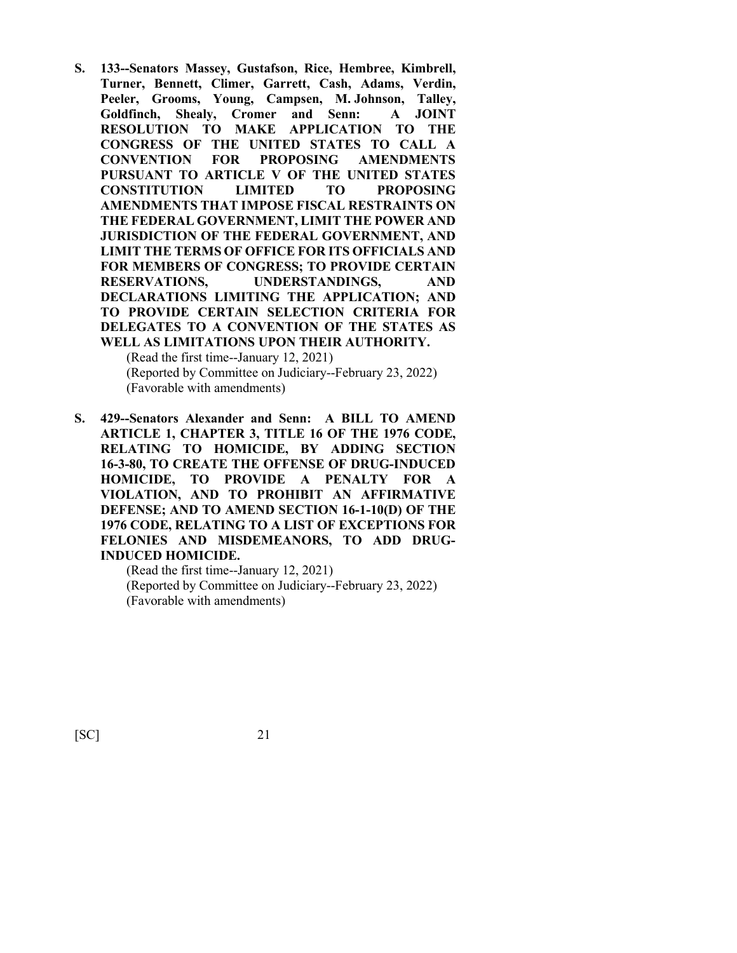**S. 133--Senators Massey, Gustafson, Rice, Hembree, Kimbrell, Turner, Bennett, Climer, Garrett, Cash, Adams, Verdin, Peeler, Grooms, Young, Campsen, M. Johnson, Talley, Goldfinch, Shealy, Cromer and Senn: A JOINT RESOLUTION TO MAKE APPLICATION TO THE CONGRESS OF THE UNITED STATES TO CALL A CONVENTION FOR PROPOSING AMENDMENTS PURSUANT TO ARTICLE V OF THE UNITED STATES CONSTITUTION LIMITED TO PROPOSING AMENDMENTS THAT IMPOSE FISCAL RESTRAINTS ON THE FEDERAL GOVERNMENT, LIMIT THE POWER AND JURISDICTION OF THE FEDERAL GOVERNMENT, AND LIMIT THE TERMS OF OFFICE FOR ITS OFFICIALS AND FOR MEMBERS OF CONGRESS; TO PROVIDE CERTAIN RESERVATIONS, UNDERSTANDINGS, AND DECLARATIONS LIMITING THE APPLICATION; AND TO PROVIDE CERTAIN SELECTION CRITERIA FOR DELEGATES TO A CONVENTION OF THE STATES AS WELL AS LIMITATIONS UPON THEIR AUTHORITY.**

(Read the first time--January 12, 2021) (Reported by Committee on Judiciary--February 23, 2022) (Favorable with amendments)

**S. 429--Senators Alexander and Senn: A BILL TO AMEND ARTICLE 1, CHAPTER 3, TITLE 16 OF THE 1976 CODE, RELATING TO HOMICIDE, BY ADDING SECTION 16-3-80, TO CREATE THE OFFENSE OF DRUG-INDUCED HOMICIDE, TO PROVIDE A PENALTY FOR A VIOLATION, AND TO PROHIBIT AN AFFIRMATIVE DEFENSE; AND TO AMEND SECTION 16-1-10(D) OF THE 1976 CODE, RELATING TO A LIST OF EXCEPTIONS FOR FELONIES AND MISDEMEANORS, TO ADD DRUG-INDUCED HOMICIDE.**

(Read the first time--January 12, 2021) (Reported by Committee on Judiciary--February 23, 2022) (Favorable with amendments)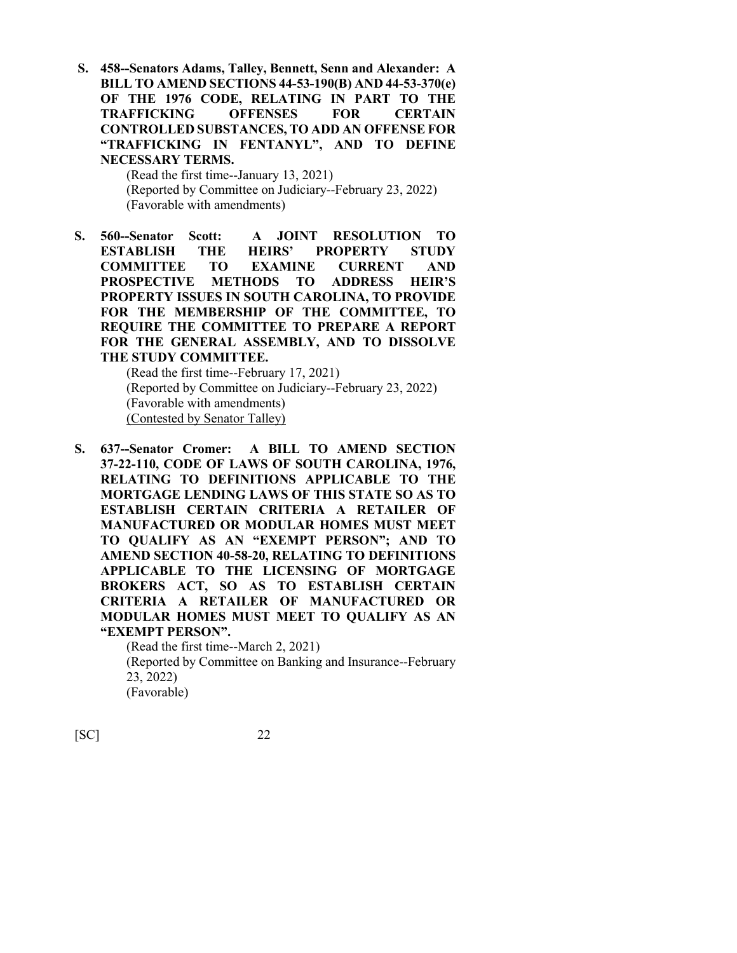**S. 458--Senators Adams, Talley, Bennett, Senn and Alexander: A BILL TO AMEND SECTIONS 44-53-190(B) AND 44-53-370(e) OF THE 1976 CODE, RELATING IN PART TO THE TRAFFICKING OFFENSES FOR CERTAIN CONTROLLED SUBSTANCES, TO ADD AN OFFENSE FOR "TRAFFICKING IN FENTANYL", AND TO DEFINE NECESSARY TERMS.**

> (Read the first time--January 13, 2021) (Reported by Committee on Judiciary--February 23, 2022) (Favorable with amendments)

**S. 560--Senator Scott: A JOINT RESOLUTION TO ESTABLISH THE HEIRS' PROPERTY STUDY COMMITTEE TO EXAMINE CURRENT AND PROSPECTIVE METHODS TO ADDRESS HEIR'S PROPERTY ISSUES IN SOUTH CAROLINA, TO PROVIDE FOR THE MEMBERSHIP OF THE COMMITTEE, TO REQUIRE THE COMMITTEE TO PREPARE A REPORT FOR THE GENERAL ASSEMBLY, AND TO DISSOLVE THE STUDY COMMITTEE.**

(Read the first time--February 17, 2021) (Reported by Committee on Judiciary--February 23, 2022) (Favorable with amendments) (Contested by Senator Talley)

**S. 637--Senator Cromer: A BILL TO AMEND SECTION 37-22-110, CODE OF LAWS OF SOUTH CAROLINA, 1976, RELATING TO DEFINITIONS APPLICABLE TO THE MORTGAGE LENDING LAWS OF THIS STATE SO AS TO ESTABLISH CERTAIN CRITERIA A RETAILER OF MANUFACTURED OR MODULAR HOMES MUST MEET TO QUALIFY AS AN "EXEMPT PERSON"; AND TO AMEND SECTION 40-58-20, RELATING TO DEFINITIONS APPLICABLE TO THE LICENSING OF MORTGAGE BROKERS ACT, SO AS TO ESTABLISH CERTAIN CRITERIA A RETAILER OF MANUFACTURED OR MODULAR HOMES MUST MEET TO QUALIFY AS AN "EXEMPT PERSON".**

> (Read the first time--March 2, 2021) (Reported by Committee on Banking and Insurance--February 23, 2022) (Favorable)

[SC] 22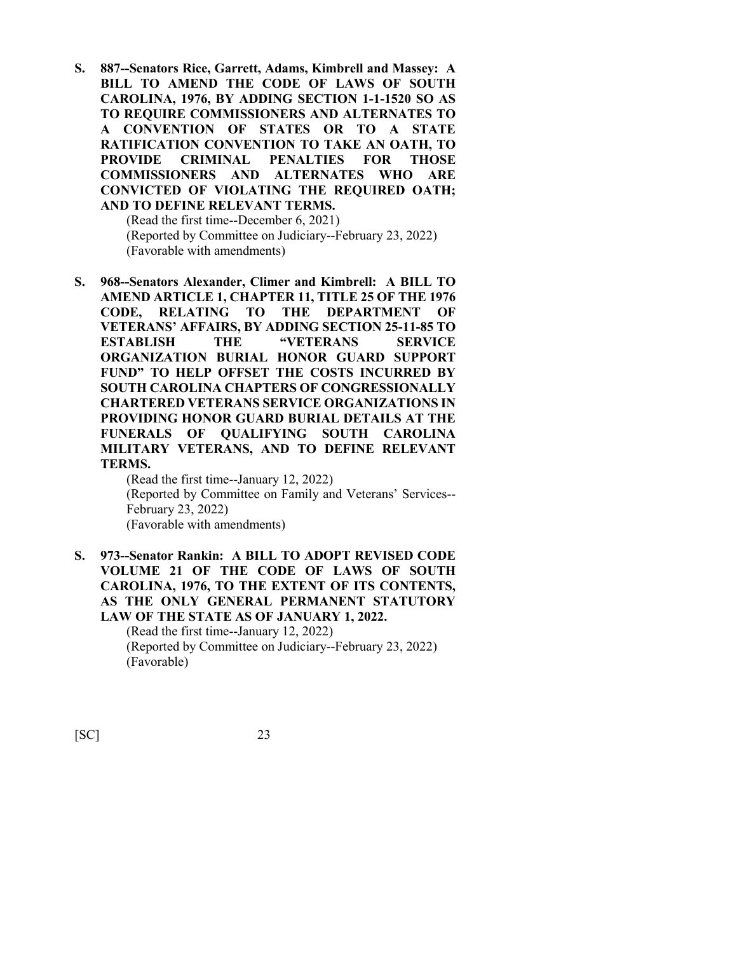**S. 887--Senators Rice, Garrett, Adams, Kimbrell and Massey: A BILL TO AMEND THE CODE OF LAWS OF SOUTH CAROLINA, 1976, BY ADDING SECTION 1-1-1520 SO AS TO REQUIRE COMMISSIONERS AND ALTERNATES TO A CONVENTION OF STATES OR TO A STATE RATIFICATION CONVENTION TO TAKE AN OATH, TO PROVIDE CRIMINAL PENALTIES FOR THOSE COMMISSIONERS AND ALTERNATES WHO ARE CONVICTED OF VIOLATING THE REQUIRED OATH; AND TO DEFINE RELEVANT TERMS.**

> (Read the first time--December 6, 2021) (Reported by Committee on Judiciary--February 23, 2022) (Favorable with amendments)

**S. 968--Senators Alexander, Climer and Kimbrell: A BILL TO AMEND ARTICLE 1, CHAPTER 11, TITLE 25 OF THE 1976 CODE, RELATING TO THE DEPARTMENT OF VETERANS' AFFAIRS, BY ADDING SECTION 25-11-85 TO ESTABLISH THE "VETERANS SERVICE ORGANIZATION BURIAL HONOR GUARD SUPPORT FUND" TO HELP OFFSET THE COSTS INCURRED BY SOUTH CAROLINA CHAPTERS OF CONGRESSIONALLY CHARTERED VETERANS SERVICE ORGANIZATIONS IN PROVIDING HONOR GUARD BURIAL DETAILS AT THE FUNERALS OF QUALIFYING SOUTH CAROLINA MILITARY VETERANS, AND TO DEFINE RELEVANT TERMS.**

(Read the first time--January 12, 2022) (Reported by Committee on Family and Veterans' Services-- February 23, 2022) (Favorable with amendments)

**S. 973--Senator Rankin: A BILL TO ADOPT REVISED CODE VOLUME 21 OF THE CODE OF LAWS OF SOUTH CAROLINA, 1976, TO THE EXTENT OF ITS CONTENTS, AS THE ONLY GENERAL PERMANENT STATUTORY LAW OF THE STATE AS OF JANUARY 1, 2022.** (Read the first time--January 12, 2022) (Reported by Committee on Judiciary--February 23, 2022)

[SC] 23

(Favorable)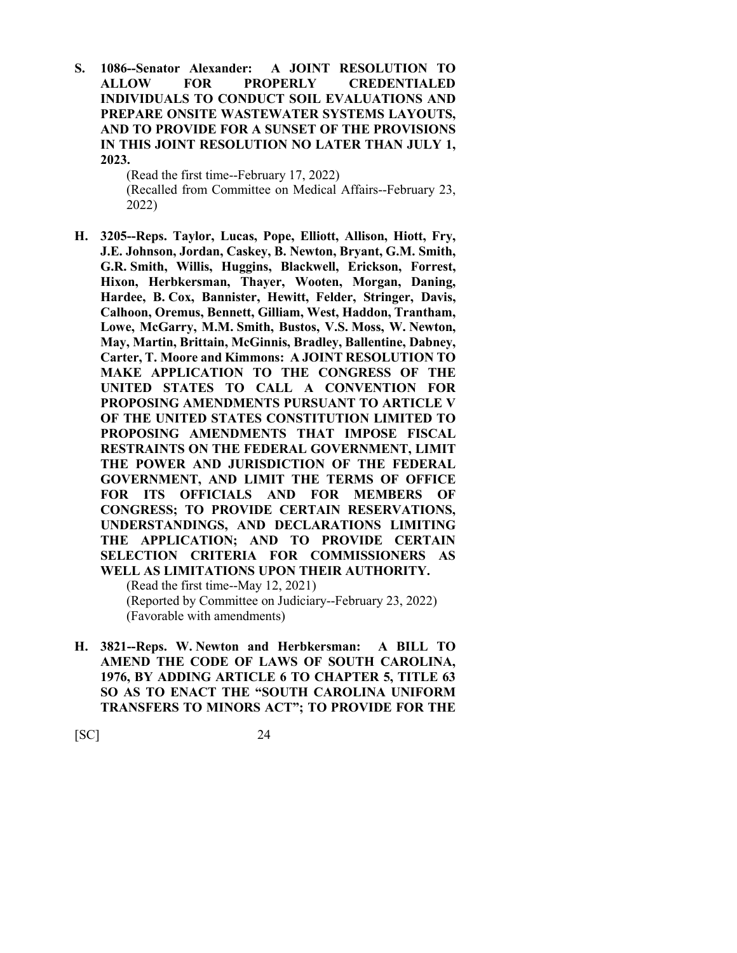**S. 1086--Senator Alexander: A JOINT RESOLUTION TO ALLOW FOR PROPERLY CREDENTIALED INDIVIDUALS TO CONDUCT SOIL EVALUATIONS AND PREPARE ONSITE WASTEWATER SYSTEMS LAYOUTS, AND TO PROVIDE FOR A SUNSET OF THE PROVISIONS IN THIS JOINT RESOLUTION NO LATER THAN JULY 1, 2023.**

> (Read the first time--February 17, 2022) (Recalled from Committee on Medical Affairs--February 23, 2022)

**H. 3205--Reps. Taylor, Lucas, Pope, Elliott, Allison, Hiott, Fry, J.E. Johnson, Jordan, Caskey, B. Newton, Bryant, G.M. Smith, G.R. Smith, Willis, Huggins, Blackwell, Erickson, Forrest, Hixon, Herbkersman, Thayer, Wooten, Morgan, Daning, Hardee, B. Cox, Bannister, Hewitt, Felder, Stringer, Davis, Calhoon, Oremus, Bennett, Gilliam, West, Haddon, Trantham, Lowe, McGarry, M.M. Smith, Bustos, V.S. Moss, W. Newton, May, Martin, Brittain, McGinnis, Bradley, Ballentine, Dabney, Carter, T. Moore and Kimmons: A JOINT RESOLUTION TO MAKE APPLICATION TO THE CONGRESS OF THE UNITED STATES TO CALL A CONVENTION FOR PROPOSING AMENDMENTS PURSUANT TO ARTICLE V OF THE UNITED STATES CONSTITUTION LIMITED TO PROPOSING AMENDMENTS THAT IMPOSE FISCAL RESTRAINTS ON THE FEDERAL GOVERNMENT, LIMIT THE POWER AND JURISDICTION OF THE FEDERAL GOVERNMENT, AND LIMIT THE TERMS OF OFFICE FOR ITS OFFICIALS AND FOR MEMBERS OF CONGRESS; TO PROVIDE CERTAIN RESERVATIONS, UNDERSTANDINGS, AND DECLARATIONS LIMITING THE APPLICATION; AND TO PROVIDE CERTAIN SELECTION CRITERIA FOR COMMISSIONERS AS WELL AS LIMITATIONS UPON THEIR AUTHORITY.** (Read the first time--May 12, 2021)

(Reported by Committee on Judiciary--February 23, 2022) (Favorable with amendments)

**H. 3821--Reps. W. Newton and Herbkersman: A BILL TO AMEND THE CODE OF LAWS OF SOUTH CAROLINA, 1976, BY ADDING ARTICLE 6 TO CHAPTER 5, TITLE 63 SO AS TO ENACT THE "SOUTH CAROLINA UNIFORM TRANSFERS TO MINORS ACT"; TO PROVIDE FOR THE**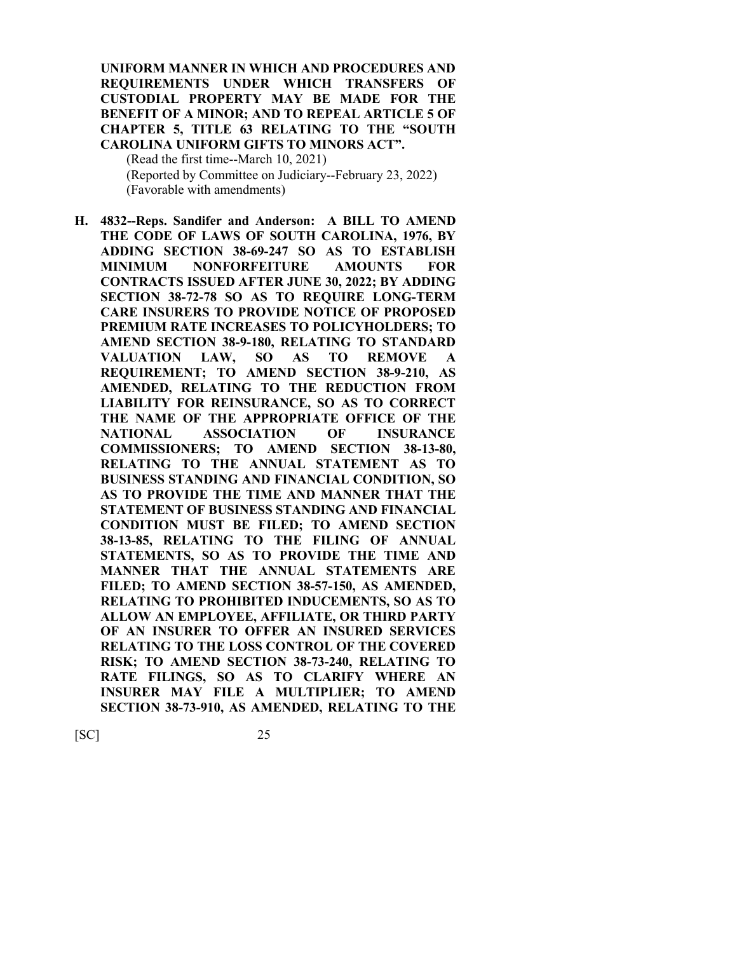**UNIFORM MANNER IN WHICH AND PROCEDURES AND REQUIREMENTS UNDER WHICH TRANSFERS OF CUSTODIAL PROPERTY MAY BE MADE FOR THE BENEFIT OF A MINOR; AND TO REPEAL ARTICLE 5 OF CHAPTER 5, TITLE 63 RELATING TO THE "SOUTH CAROLINA UNIFORM GIFTS TO MINORS ACT".**

(Read the first time--March 10, 2021) (Reported by Committee on Judiciary--February 23, 2022) (Favorable with amendments)

**H. 4832--Reps. Sandifer and Anderson: A BILL TO AMEND THE CODE OF LAWS OF SOUTH CAROLINA, 1976, BY ADDING SECTION 38-69-247 SO AS TO ESTABLISH MINIMUM NONFORFEITURE AMOUNTS FOR CONTRACTS ISSUED AFTER JUNE 30, 2022; BY ADDING SECTION 38-72-78 SO AS TO REQUIRE LONG-TERM CARE INSURERS TO PROVIDE NOTICE OF PROPOSED PREMIUM RATE INCREASES TO POLICYHOLDERS; TO AMEND SECTION 38-9-180, RELATING TO STANDARD VALUATION LAW, SO AS TO REMOVE A REQUIREMENT; TO AMEND SECTION 38-9-210, AS AMENDED, RELATING TO THE REDUCTION FROM LIABILITY FOR REINSURANCE, SO AS TO CORRECT THE NAME OF THE APPROPRIATE OFFICE OF THE NATIONAL ASSOCIATION OF INSURANCE COMMISSIONERS; TO AMEND SECTION 38-13-80, RELATING TO THE ANNUAL STATEMENT AS TO BUSINESS STANDING AND FINANCIAL CONDITION, SO AS TO PROVIDE THE TIME AND MANNER THAT THE STATEMENT OF BUSINESS STANDING AND FINANCIAL CONDITION MUST BE FILED; TO AMEND SECTION 38-13-85, RELATING TO THE FILING OF ANNUAL STATEMENTS, SO AS TO PROVIDE THE TIME AND MANNER THAT THE ANNUAL STATEMENTS ARE FILED; TO AMEND SECTION 38-57-150, AS AMENDED, RELATING TO PROHIBITED INDUCEMENTS, SO AS TO ALLOW AN EMPLOYEE, AFFILIATE, OR THIRD PARTY OF AN INSURER TO OFFER AN INSURED SERVICES RELATING TO THE LOSS CONTROL OF THE COVERED RISK; TO AMEND SECTION 38-73-240, RELATING TO RATE FILINGS, SO AS TO CLARIFY WHERE AN INSURER MAY FILE A MULTIPLIER; TO AMEND SECTION 38-73-910, AS AMENDED, RELATING TO THE**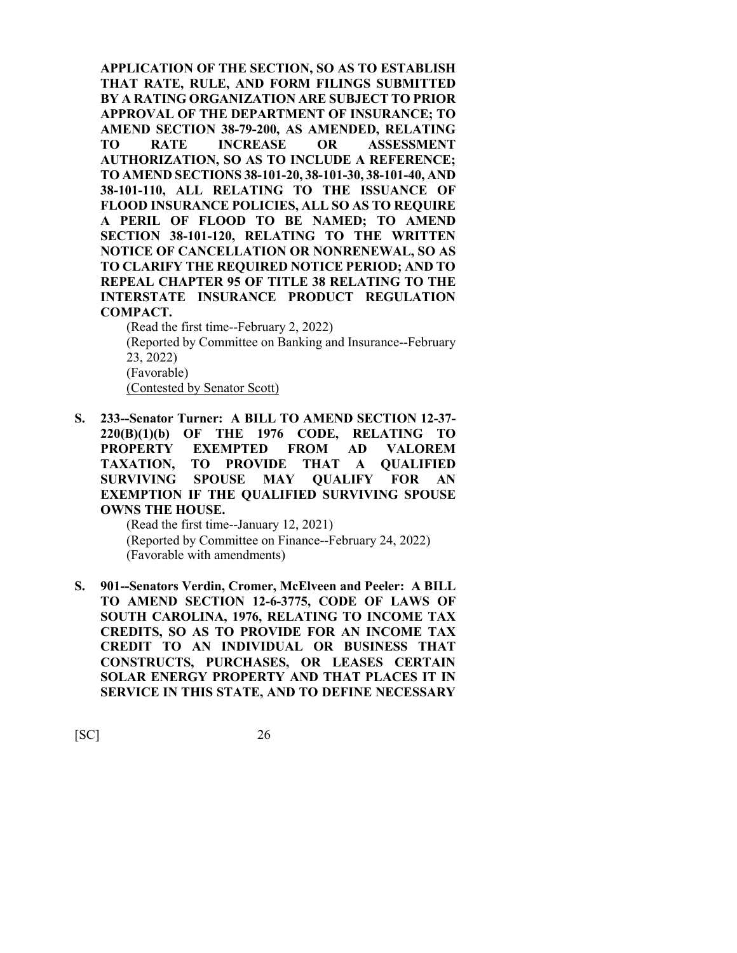**APPLICATION OF THE SECTION, SO AS TO ESTABLISH THAT RATE, RULE, AND FORM FILINGS SUBMITTED BY A RATING ORGANIZATION ARE SUBJECT TO PRIOR APPROVAL OF THE DEPARTMENT OF INSURANCE; TO AMEND SECTION 38-79-200, AS AMENDED, RELATING TO RATE INCREASE OR ASSESSMENT AUTHORIZATION, SO AS TO INCLUDE A REFERENCE; TO AMEND SECTIONS 38-101-20, 38-101-30, 38-101-40, AND 38-101-110, ALL RELATING TO THE ISSUANCE OF FLOOD INSURANCE POLICIES, ALL SO AS TO REQUIRE A PERIL OF FLOOD TO BE NAMED; TO AMEND SECTION 38-101-120, RELATING TO THE WRITTEN NOTICE OF CANCELLATION OR NONRENEWAL, SO AS TO CLARIFY THE REQUIRED NOTICE PERIOD; AND TO REPEAL CHAPTER 95 OF TITLE 38 RELATING TO THE INTERSTATE INSURANCE PRODUCT REGULATION COMPACT.**

(Read the first time--February 2, 2022)

(Reported by Committee on Banking and Insurance--February 23, 2022) (Favorable)

(Contested by Senator Scott)

**S. 233--Senator Turner: A BILL TO AMEND SECTION 12-37- 220(B)(1)(b) OF THE 1976 CODE, RELATING TO PROPERTY EXEMPTED FROM AD VALOREM TAXATION, TO PROVIDE THAT A QUALIFIED SURVIVING SPOUSE MAY QUALIFY FOR AN EXEMPTION IF THE QUALIFIED SURVIVING SPOUSE OWNS THE HOUSE.**

> (Read the first time--January 12, 2021) (Reported by Committee on Finance--February 24, 2022) (Favorable with amendments)

**S. 901--Senators Verdin, Cromer, McElveen and Peeler: A BILL TO AMEND SECTION 12-6-3775, CODE OF LAWS OF SOUTH CAROLINA, 1976, RELATING TO INCOME TAX CREDITS, SO AS TO PROVIDE FOR AN INCOME TAX CREDIT TO AN INDIVIDUAL OR BUSINESS THAT CONSTRUCTS, PURCHASES, OR LEASES CERTAIN SOLAR ENERGY PROPERTY AND THAT PLACES IT IN SERVICE IN THIS STATE, AND TO DEFINE NECESSARY**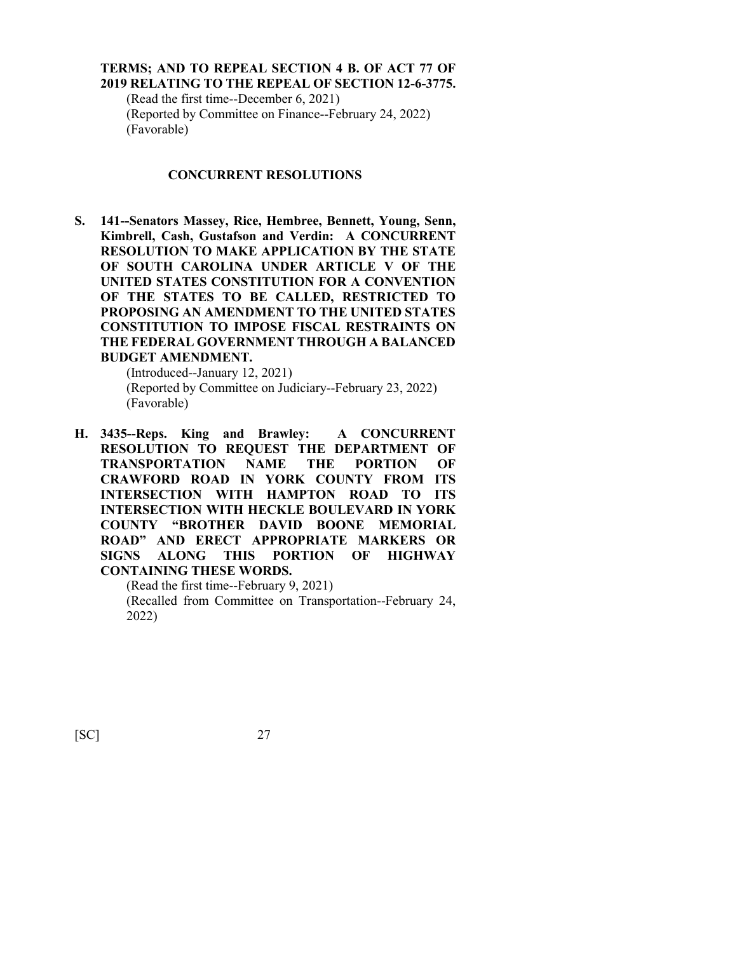#### **TERMS; AND TO REPEAL SECTION 4 B. OF ACT 77 OF 2019 RELATING TO THE REPEAL OF SECTION 12-6-3775.**

(Read the first time--December 6, 2021) (Reported by Committee on Finance--February 24, 2022) (Favorable)

#### **CONCURRENT RESOLUTIONS**

**S. 141--Senators Massey, Rice, Hembree, Bennett, Young, Senn, Kimbrell, Cash, Gustafson and Verdin: A CONCURRENT RESOLUTION TO MAKE APPLICATION BY THE STATE OF SOUTH CAROLINA UNDER ARTICLE V OF THE UNITED STATES CONSTITUTION FOR A CONVENTION OF THE STATES TO BE CALLED, RESTRICTED TO PROPOSING AN AMENDMENT TO THE UNITED STATES CONSTITUTION TO IMPOSE FISCAL RESTRAINTS ON THE FEDERAL GOVERNMENT THROUGH A BALANCED BUDGET AMENDMENT.**

(Introduced--January 12, 2021) (Reported by Committee on Judiciary--February 23, 2022) (Favorable)

**H. 3435--Reps. King and Brawley: A CONCURRENT RESOLUTION TO REQUEST THE DEPARTMENT OF TRANSPORTATION NAME THE PORTION OF CRAWFORD ROAD IN YORK COUNTY FROM ITS INTERSECTION WITH HAMPTON ROAD TO ITS INTERSECTION WITH HECKLE BOULEVARD IN YORK COUNTY "BROTHER DAVID BOONE MEMORIAL ROAD" AND ERECT APPROPRIATE MARKERS OR SIGNS ALONG THIS PORTION OF HIGHWAY CONTAINING THESE WORDS.**

(Read the first time--February 9, 2021)

(Recalled from Committee on Transportation--February 24, 2022)